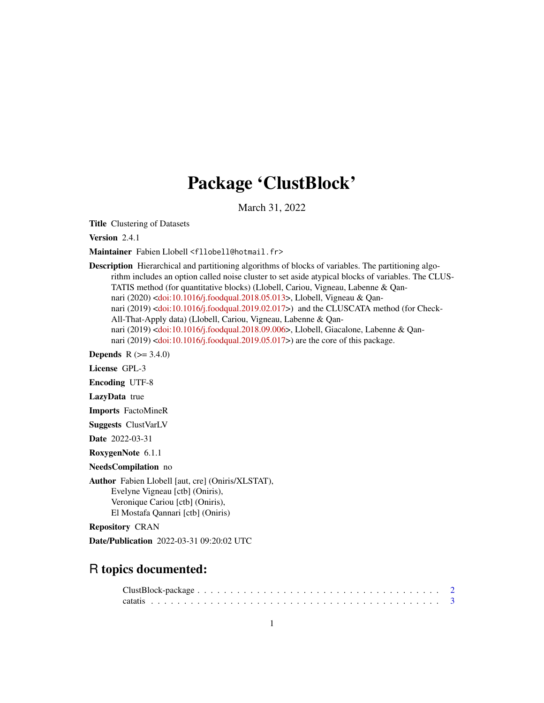# Package 'ClustBlock'

March 31, 2022

Title Clustering of Datasets

Version 2.4.1

Maintainer Fabien Llobell <fllobell@hotmail.fr>

Description Hierarchical and partitioning algorithms of blocks of variables. The partitioning algorithm includes an option called noise cluster to set aside atypical blocks of variables. The CLUS-TATIS method (for quantitative blocks) (Llobell, Cariou, Vigneau, Labenne & Qannari (2020) [<doi:10.1016/j.foodqual.2018.05.013>](https://doi.org/10.1016/j.foodqual.2018.05.013), Llobell, Vigneau & Qan-nari (2019) [<doi:10.1016/j.foodqual.2019.02.017>](https://doi.org/10.1016/j.foodqual.2019.02.017)) and the CLUSCATA method (for Check-All-That-Apply data) (Llobell, Cariou, Vigneau, Labenne & Qannari (2019) [<doi:10.1016/j.foodqual.2018.09.006>](https://doi.org/10.1016/j.foodqual.2018.09.006), Llobell, Giacalone, Labenne & Qannari (2019) [<doi:10.1016/j.foodqual.2019.05.017>](https://doi.org/10.1016/j.foodqual.2019.05.017)) are the core of this package.

**Depends** R  $(>= 3.4.0)$ 

License GPL-3

Encoding UTF-8

LazyData true

Imports FactoMineR

Suggests ClustVarLV

Date 2022-03-31

RoxygenNote 6.1.1

NeedsCompilation no

Author Fabien Llobell [aut, cre] (Oniris/XLSTAT), Evelyne Vigneau [ctb] (Oniris), Veronique Cariou [ctb] (Oniris), El Mostafa Qannari [ctb] (Oniris)

Repository CRAN

Date/Publication 2022-03-31 09:20:02 UTC

# R topics documented: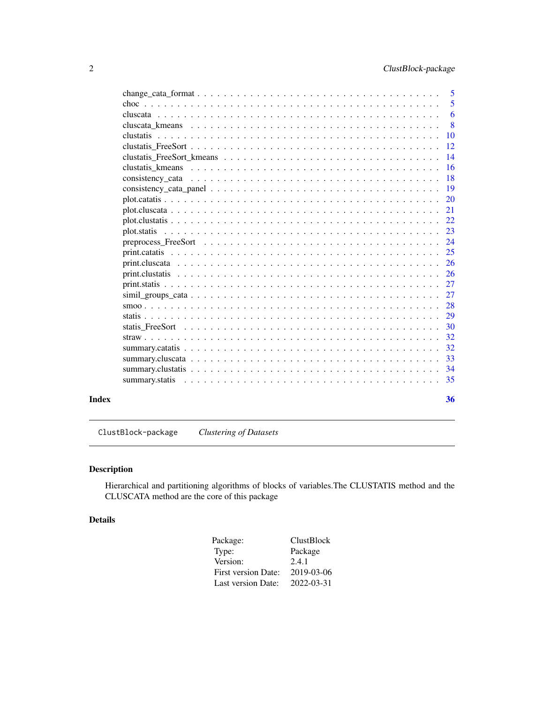<span id="page-1-0"></span>

|       |                                                                                                                                                    | $\overline{\phantom{0}}$ 5 |
|-------|----------------------------------------------------------------------------------------------------------------------------------------------------|----------------------------|
|       |                                                                                                                                                    | 5                          |
|       |                                                                                                                                                    | 6                          |
|       | cluscata kmeans $\ldots$ , $\ldots$ , $\ldots$ , $\ldots$ , $\ldots$ , $\ldots$ , $\ldots$ , $\ldots$ , $\ldots$ , $\ldots$ , $\ldots$ , $\ldots$  | 8                          |
|       |                                                                                                                                                    | $\overline{10}$            |
|       |                                                                                                                                                    | <sup>12</sup>              |
|       |                                                                                                                                                    | 14                         |
|       | clustatis kmeans $\ldots$ , $\ldots$ , $\ldots$ , $\ldots$ , $\ldots$ , $\ldots$ , $\ldots$ , $\ldots$ , $\ldots$ , $\ldots$ , $\ldots$ , $\ldots$ | 16                         |
|       |                                                                                                                                                    | <b>18</b>                  |
|       |                                                                                                                                                    | <b>19</b>                  |
|       |                                                                                                                                                    | 20                         |
|       |                                                                                                                                                    | 21                         |
|       |                                                                                                                                                    | 22                         |
|       |                                                                                                                                                    | 23                         |
|       |                                                                                                                                                    | 24                         |
|       |                                                                                                                                                    | 25                         |
|       |                                                                                                                                                    | -26                        |
|       |                                                                                                                                                    | -26                        |
|       |                                                                                                                                                    | 27                         |
|       |                                                                                                                                                    | 27                         |
|       |                                                                                                                                                    | 28                         |
|       |                                                                                                                                                    | 29                         |
|       |                                                                                                                                                    | 30                         |
|       |                                                                                                                                                    | 32                         |
|       |                                                                                                                                                    | 32                         |
|       |                                                                                                                                                    | 33                         |
|       |                                                                                                                                                    | 34                         |
|       |                                                                                                                                                    |                            |
|       |                                                                                                                                                    |                            |
| Index |                                                                                                                                                    | 36                         |

ClustBlock-package *Clustering of Datasets*

# Description

Hierarchical and partitioning algorithms of blocks of variables.The CLUSTATIS method and the CLUSCATA method are the core of this package

# Details

| Package:                   | <b>ClustBlock</b> |
|----------------------------|-------------------|
| Type:                      | Package           |
| Version:                   | 2.4.1             |
| <b>First version Date:</b> | 2019-03-06        |
| Last version Date:         | 2022-03-31        |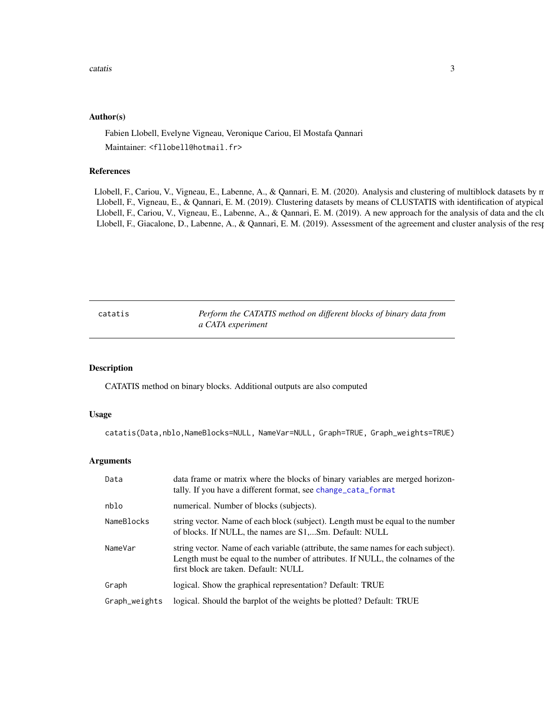#### <span id="page-2-0"></span>Author(s)

Fabien Llobell, Evelyne Vigneau, Veronique Cariou, El Mostafa Qannari Maintainer: <fllobell@hotmail.fr>

### References

Llobell, F., Cariou, V., Vigneau, E., Labenne, A., & Qannari, E. M. (2020). Analysis and clustering of multiblock datasets by n Llobell, F., Vigneau, E., & Qannari, E. M. (2019). Clustering datasets by means of CLUSTATIS with identification of atypical Llobell, F., Cariou, V., Vigneau, E., Labenne, A., & Qannari, E. M. (2019). A new approach for the analysis of data and the clustering of data and the clustering and the clustering and the clustering and preference, 81-31-Llobell, F., Giacalone, D., Labenne, A., & Qannari, E. M. (2019). Assessment of the agreement and cluster analysis of the resp

<span id="page-2-1"></span>catatis *Perform the CATATIS method on different blocks of binary data from a CATA experiment*

#### Description

CATATIS method on binary blocks. Additional outputs are also computed

# Usage

catatis(Data,nblo,NameBlocks=NULL, NameVar=NULL, Graph=TRUE, Graph\_weights=TRUE)

| Data          | data frame or matrix where the blocks of binary variables are merged horizon-<br>tally. If you have a different format, see change_cata_format                                                               |
|---------------|--------------------------------------------------------------------------------------------------------------------------------------------------------------------------------------------------------------|
| nblo          | numerical. Number of blocks (subjects).                                                                                                                                                                      |
| NameBlocks    | string vector. Name of each block (subject). Length must be equal to the number<br>of blocks. If NULL, the names are S1,Sm. Default: NULL                                                                    |
| NameVar       | string vector. Name of each variable (attribute, the same names for each subject).<br>Length must be equal to the number of attributes. If NULL, the colnames of the<br>first block are taken. Default: NULL |
| Graph         | logical. Show the graphical representation? Default: TRUE                                                                                                                                                    |
| Graph_weights | logical. Should the barplot of the weights be plotted? Default: TRUE                                                                                                                                         |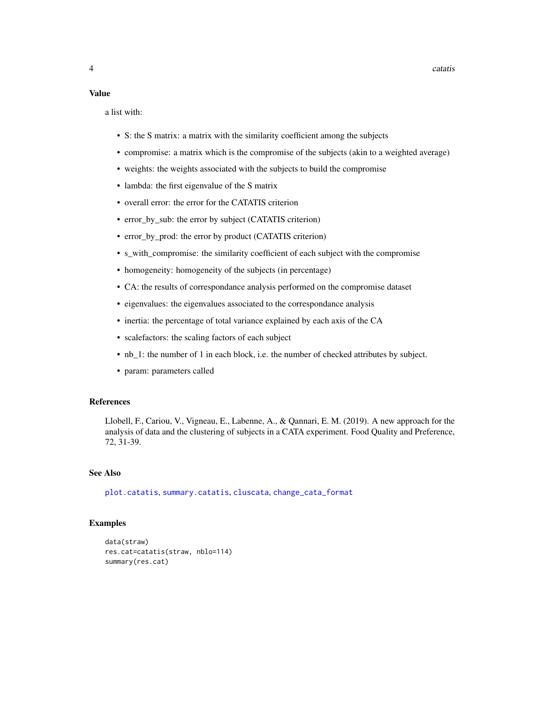#### <span id="page-3-0"></span>Value

a list with:

- S: the S matrix: a matrix with the similarity coefficient among the subjects
- compromise: a matrix which is the compromise of the subjects (akin to a weighted average)
- weights: the weights associated with the subjects to build the compromise
- lambda: the first eigenvalue of the S matrix
- overall error: the error for the CATATIS criterion
- error\_by\_sub: the error by subject (CATATIS criterion)
- error\_by\_prod: the error by product (CATATIS criterion)
- s\_with\_compromise: the similarity coefficient of each subject with the compromise
- homogeneity: homogeneity of the subjects (in percentage)
- CA: the results of correspondance analysis performed on the compromise dataset
- eigenvalues: the eigenvalues associated to the correspondance analysis
- inertia: the percentage of total variance explained by each axis of the CA
- scalefactors: the scaling factors of each subject
- nb\_1: the number of 1 in each block, i.e. the number of checked attributes by subject.
- param: parameters called

### References

Llobell, F., Cariou, V., Vigneau, E., Labenne, A., & Qannari, E. M. (2019). A new approach for the analysis of data and the clustering of subjects in a CATA experiment. Food Quality and Preference, 72, 31-39.

# See Also

[plot.catatis](#page-19-1), [summary.catatis](#page-31-1), [cluscata](#page-5-1), [change\\_cata\\_format](#page-4-1)

```
data(straw)
res.cat=catatis(straw, nblo=114)
summary(res.cat)
```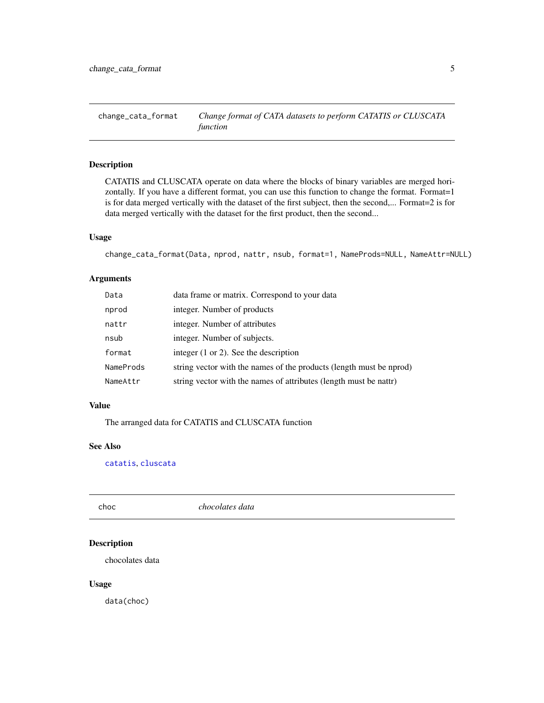<span id="page-4-1"></span><span id="page-4-0"></span>change\_cata\_format *Change format of CATA datasets to perform CATATIS or CLUSCATA function*

# Description

CATATIS and CLUSCATA operate on data where the blocks of binary variables are merged horizontally. If you have a different format, you can use this function to change the format. Format=1 is for data merged vertically with the dataset of the first subject, then the second,... Format=2 is for data merged vertically with the dataset for the first product, then the second...

#### Usage

change\_cata\_format(Data, nprod, nattr, nsub, format=1, NameProds=NULL, NameAttr=NULL)

# Arguments

| Data      | data frame or matrix. Correspond to your data                       |
|-----------|---------------------------------------------------------------------|
| nprod     | integer. Number of products                                         |
| nattr     | integer. Number of attributes                                       |
| nsub      | integer. Number of subjects.                                        |
| format    | integer $(1 \text{ or } 2)$ . See the description                   |
| NameProds | string vector with the names of the products (length must be nprod) |
| NameAttr  | string vector with the names of attributes (length must be nattr)   |

# Value

The arranged data for CATATIS and CLUSCATA function

## See Also

[catatis](#page-2-1), [cluscata](#page-5-1)

choc *chocolates data*

# Description

chocolates data

#### Usage

data(choc)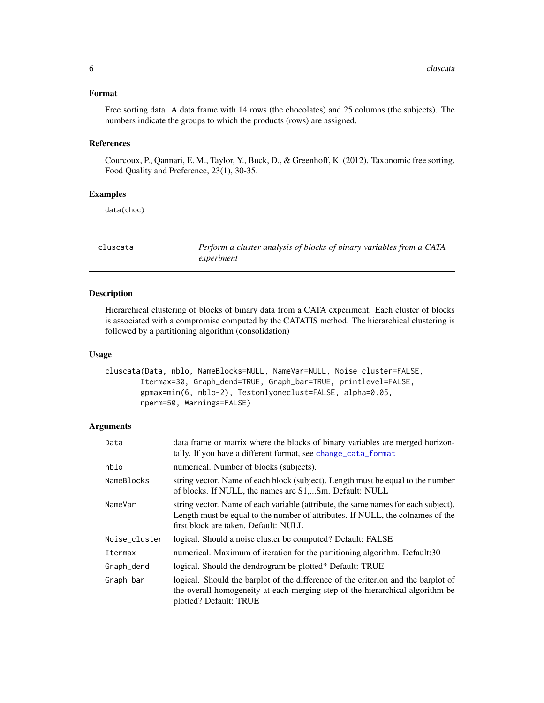# <span id="page-5-0"></span>Format

Free sorting data. A data frame with 14 rows (the chocolates) and 25 columns (the subjects). The numbers indicate the groups to which the products (rows) are assigned.

# References

Courcoux, P., Qannari, E. M., Taylor, Y., Buck, D., & Greenhoff, K. (2012). Taxonomic free sorting. Food Quality and Preference, 23(1), 30-35.

#### Examples

data(choc)

<span id="page-5-1"></span>cluscata *Perform a cluster analysis of blocks of binary variables from a CATA experiment*

# Description

Hierarchical clustering of blocks of binary data from a CATA experiment. Each cluster of blocks is associated with a compromise computed by the CATATIS method. The hierarchical clustering is followed by a partitioning algorithm (consolidation)

#### Usage

```
cluscata(Data, nblo, NameBlocks=NULL, NameVar=NULL, Noise_cluster=FALSE,
       Itermax=30, Graph_dend=TRUE, Graph_bar=TRUE, printlevel=FALSE,
       gpmax=min(6, nblo-2), Testonlyoneclust=FALSE, alpha=0.05,
       nperm=50, Warnings=FALSE)
```

| Data          | data frame or matrix where the blocks of binary variables are merged horizon-<br>tally. If you have a different format, see change_cata_format                                                               |
|---------------|--------------------------------------------------------------------------------------------------------------------------------------------------------------------------------------------------------------|
| nblo          | numerical. Number of blocks (subjects).                                                                                                                                                                      |
| NameBlocks    | string vector. Name of each block (subject). Length must be equal to the number<br>of blocks. If NULL, the names are S1,Sm. Default: NULL                                                                    |
| NameVar       | string vector. Name of each variable (attribute, the same names for each subject).<br>Length must be equal to the number of attributes. If NULL, the colnames of the<br>first block are taken. Default: NULL |
| Noise_cluster | logical. Should a noise cluster be computed? Default: FALSE                                                                                                                                                  |
| Itermax       | numerical. Maximum of iteration for the partitioning algorithm. Default:30                                                                                                                                   |
| Graph_dend    | logical. Should the dendrogram be plotted? Default: TRUE                                                                                                                                                     |
| Graph_bar     | logical. Should the barplot of the difference of the criterion and the barplot of<br>the overall homogeneity at each merging step of the hierarchical algorithm be<br>plotted? Default: TRUE                 |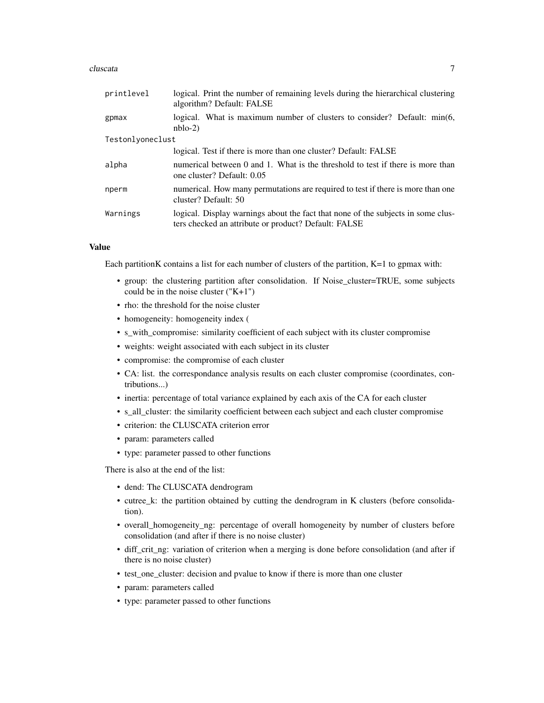#### cluscata  $\overline{7}$

| printlevel       | logical. Print the number of remaining levels during the hierarchical clustering<br>algorithm? Default: FALSE                            |
|------------------|------------------------------------------------------------------------------------------------------------------------------------------|
| gpmax            | logical. What is maximum number of clusters to consider? Default: min(6,<br>$nblo-2)$                                                    |
| Testonlyoneclust |                                                                                                                                          |
|                  | logical. Test if there is more than one cluster? Default: FALSE                                                                          |
| alpha            | numerical between 0 and 1. What is the threshold to test if there is more than<br>one cluster? Default: 0.05                             |
| nperm            | numerical. How many permutations are required to test if there is more than one<br>cluster? Default: 50                                  |
| Warnings         | logical. Display warnings about the fact that none of the subjects in some clus-<br>ters checked an attribute or product? Default: FALSE |

#### Value

Each partitionK contains a list for each number of clusters of the partition, K=1 to gpmax with:

- group: the clustering partition after consolidation. If Noise\_cluster=TRUE, some subjects could be in the noise cluster  $("K+1")$
- rho: the threshold for the noise cluster
- homogeneity: homogeneity index (
- s\_with\_compromise: similarity coefficient of each subject with its cluster compromise
- weights: weight associated with each subject in its cluster
- compromise: the compromise of each cluster
- CA: list. the correspondance analysis results on each cluster compromise (coordinates, contributions...)
- inertia: percentage of total variance explained by each axis of the CA for each cluster
- s\_all\_cluster: the similarity coefficient between each subject and each cluster compromise
- criterion: the CLUSCATA criterion error
- param: parameters called
- type: parameter passed to other functions

There is also at the end of the list:

- dend: The CLUSCATA dendrogram
- cutree\_k: the partition obtained by cutting the dendrogram in K clusters (before consolidation).
- overall\_homogeneity\_ng: percentage of overall homogeneity by number of clusters before consolidation (and after if there is no noise cluster)
- diff\_crit\_ng: variation of criterion when a merging is done before consolidation (and after if there is no noise cluster)
- test\_one\_cluster: decision and pvalue to know if there is more than one cluster
- param: parameters called
- type: parameter passed to other functions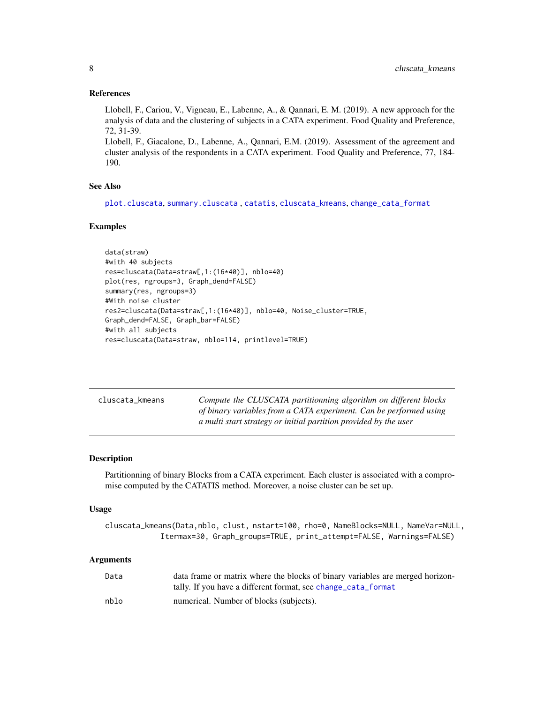#### <span id="page-7-0"></span>References

Llobell, F., Cariou, V., Vigneau, E., Labenne, A., & Qannari, E. M. (2019). A new approach for the analysis of data and the clustering of subjects in a CATA experiment. Food Quality and Preference, 72, 31-39.

Llobell, F., Giacalone, D., Labenne, A., Qannari, E.M. (2019). Assessment of the agreement and cluster analysis of the respondents in a CATA experiment. Food Quality and Preference, 77, 184- 190.

# See Also

[plot.cluscata](#page-20-1), [summary.cluscata](#page-32-1) , [catatis](#page-2-1), [cluscata\\_kmeans](#page-7-1), [change\\_cata\\_format](#page-4-1)

#### Examples

```
data(straw)
#with 40 subjects
res=cluscata(Data=straw[,1:(16*40)], nblo=40)
plot(res, ngroups=3, Graph_dend=FALSE)
summary(res, ngroups=3)
#With noise cluster
res2=cluscata(Data=straw[,1:(16*40)], nblo=40, Noise_cluster=TRUE,
Graph_dend=FALSE, Graph_bar=FALSE)
#with all subjects
res=cluscata(Data=straw, nblo=114, printlevel=TRUE)
```
<span id="page-7-1"></span>

| cluscata_kmeans | Compute the CLUSCATA partitionning algorithm on different blocks   |
|-----------------|--------------------------------------------------------------------|
|                 | of binary variables from a CATA experiment. Can be performed using |
|                 | a multi start strategy or initial partition provided by the user   |

# Description

Partitionning of binary Blocks from a CATA experiment. Each cluster is associated with a compromise computed by the CATATIS method. Moreover, a noise cluster can be set up.

#### Usage

```
cluscata_kmeans(Data,nblo, clust, nstart=100, rho=0, NameBlocks=NULL, NameVar=NULL,
            Itermax=30, Graph_groups=TRUE, print_attempt=FALSE, Warnings=FALSE)
```

| Data | data frame or matrix where the blocks of binary variables are merged horizon- |
|------|-------------------------------------------------------------------------------|
|      | tally. If you have a different format, see change_cata_format                 |
| nblo | numerical. Number of blocks (subjects).                                       |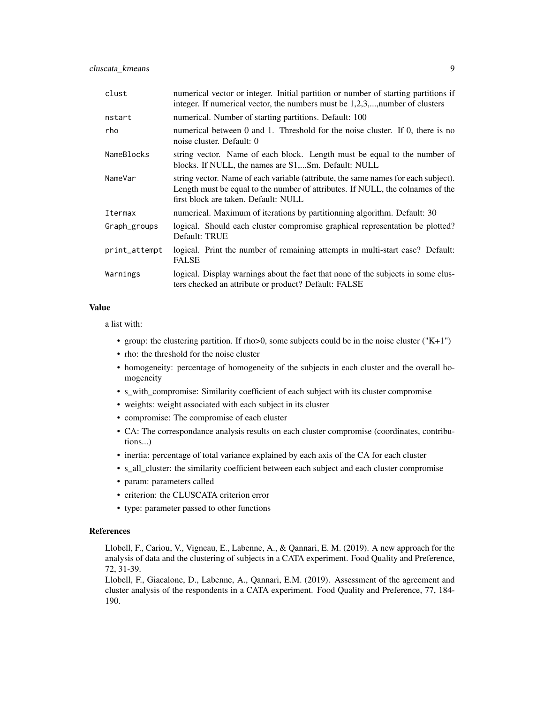| clust         | numerical vector or integer. Initial partition or number of starting partitions if<br>integer. If numerical vector, the numbers must be 1,2,3,, number of clusters                                           |
|---------------|--------------------------------------------------------------------------------------------------------------------------------------------------------------------------------------------------------------|
| nstart        | numerical. Number of starting partitions. Default: 100                                                                                                                                                       |
| rho           | numerical between 0 and 1. Threshold for the noise cluster. If 0, there is no<br>noise cluster. Default: 0                                                                                                   |
| NameBlocks    | string vector. Name of each block. Length must be equal to the number of<br>blocks. If NULL, the names are S1,Sm. Default: NULL                                                                              |
| NameVar       | string vector. Name of each variable (attribute, the same names for each subject).<br>Length must be equal to the number of attributes. If NULL, the colnames of the<br>first block are taken. Default: NULL |
| Itermax       | numerical. Maximum of iterations by partitionning algorithm. Default: 30                                                                                                                                     |
| Graph_groups  | logical. Should each cluster compromise graphical representation be plotted?<br>Default: TRUE                                                                                                                |
| print_attempt | logical. Print the number of remaining attempts in multi-start case? Default:<br><b>FALSE</b>                                                                                                                |
| Warnings      | logical. Display warnings about the fact that none of the subjects in some clus-<br>ters checked an attribute or product? Default: FALSE                                                                     |

#### Value

a list with:

- group: the clustering partition. If rho $>0$ , some subjects could be in the noise cluster ("K+1")
- rho: the threshold for the noise cluster
- homogeneity: percentage of homogeneity of the subjects in each cluster and the overall homogeneity
- s\_with\_compromise: Similarity coefficient of each subject with its cluster compromise
- weights: weight associated with each subject in its cluster
- compromise: The compromise of each cluster
- CA: The correspondance analysis results on each cluster compromise (coordinates, contributions...)
- inertia: percentage of total variance explained by each axis of the CA for each cluster
- s\_all\_cluster: the similarity coefficient between each subject and each cluster compromise
- param: parameters called
- criterion: the CLUSCATA criterion error
- type: parameter passed to other functions

#### References

Llobell, F., Cariou, V., Vigneau, E., Labenne, A., & Qannari, E. M. (2019). A new approach for the analysis of data and the clustering of subjects in a CATA experiment. Food Quality and Preference, 72, 31-39.

Llobell, F., Giacalone, D., Labenne, A., Qannari, E.M. (2019). Assessment of the agreement and cluster analysis of the respondents in a CATA experiment. Food Quality and Preference, 77, 184- 190.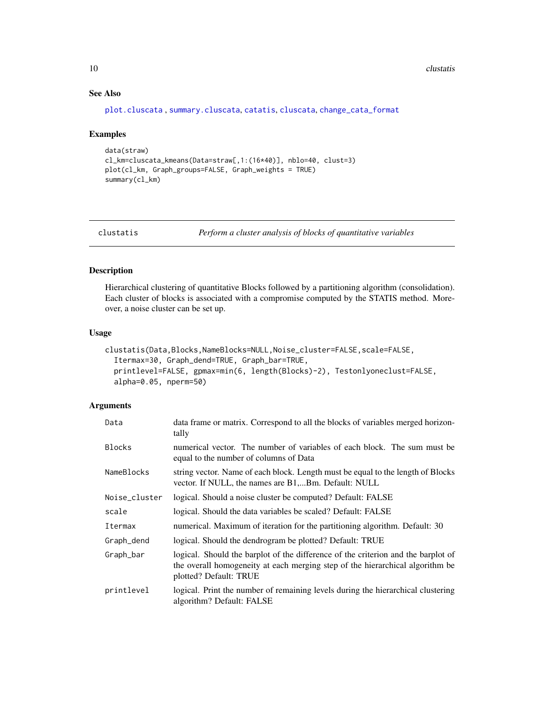# See Also

```
plot.cluscata , summary.cluscata, catatis, cluscata, change_cata_format
```
#### Examples

```
data(straw)
cl_km=cluscata_kmeans(Data=straw[,1:(16*40)], nblo=40, clust=3)
plot(cl_km, Graph_groups=FALSE, Graph_weights = TRUE)
summary(cl_km)
```
<span id="page-9-1"></span>clustatis *Perform a cluster analysis of blocks of quantitative variables*

# Description

Hierarchical clustering of quantitative Blocks followed by a partitioning algorithm (consolidation). Each cluster of blocks is associated with a compromise computed by the STATIS method. Moreover, a noise cluster can be set up.

#### Usage

```
clustatis(Data,Blocks,NameBlocks=NULL,Noise_cluster=FALSE,scale=FALSE,
  Itermax=30, Graph_dend=TRUE, Graph_bar=TRUE,
  printlevel=FALSE, gpmax=min(6, length(Blocks)-2), Testonlyoneclust=FALSE,
  alpha=0.05, nperm=50)
```

| Data          | data frame or matrix. Correspond to all the blocks of variables merged horizon-<br>tally                                                                                                     |
|---------------|----------------------------------------------------------------------------------------------------------------------------------------------------------------------------------------------|
| <b>Blocks</b> | numerical vector. The number of variables of each block. The sum must be<br>equal to the number of columns of Data                                                                           |
| NameBlocks    | string vector. Name of each block. Length must be equal to the length of Blocks<br>vector. If NULL, the names are B1,Bm. Default: NULL                                                       |
| Noise_cluster | logical. Should a noise cluster be computed? Default: FALSE                                                                                                                                  |
| scale         | logical. Should the data variables be scaled? Default: FALSE                                                                                                                                 |
| Itermax       | numerical. Maximum of iteration for the partitioning algorithm. Default: 30                                                                                                                  |
| Graph_dend    | logical. Should the dendrogram be plotted? Default: TRUE                                                                                                                                     |
| Graph_bar     | logical. Should the barplot of the difference of the criterion and the barplot of<br>the overall homogeneity at each merging step of the hierarchical algorithm be<br>plotted? Default: TRUE |
| printlevel    | logical. Print the number of remaining levels during the hierarchical clustering<br>algorithm? Default: FALSE                                                                                |

<span id="page-9-0"></span>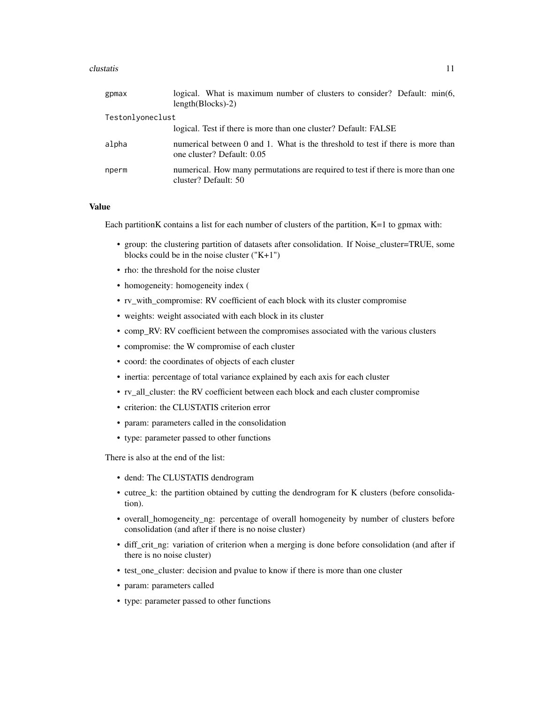#### clustatis and the contract of the contract of the contract of the contract of the contract of the contract of the contract of the contract of the contract of the contract of the contract of the contract of the contract of

| logical. What is maximum number of clusters to consider? Default: min(6,<br>$length(Blocks) - 2)$            |
|--------------------------------------------------------------------------------------------------------------|
| Testonlyoneclust                                                                                             |
| logical. Test if there is more than one cluster? Default: FALSE                                              |
| numerical between 0 and 1. What is the threshold to test if there is more than<br>one cluster? Default: 0.05 |
| numerical. How many permutations are required to test if there is more than one<br>cluster? Default: 50      |
|                                                                                                              |

# Value

Each partitionK contains a list for each number of clusters of the partition, K=1 to gpmax with:

- group: the clustering partition of datasets after consolidation. If Noise\_cluster=TRUE, some blocks could be in the noise cluster  $("K+1")$
- rho: the threshold for the noise cluster
- homogeneity: homogeneity index (
- rv\_with\_compromise: RV coefficient of each block with its cluster compromise
- weights: weight associated with each block in its cluster
- comp\_RV: RV coefficient between the compromises associated with the various clusters
- compromise: the W compromise of each cluster
- coord: the coordinates of objects of each cluster
- inertia: percentage of total variance explained by each axis for each cluster
- rv\_all\_cluster: the RV coefficient between each block and each cluster compromise
- criterion: the CLUSTATIS criterion error
- param: parameters called in the consolidation
- type: parameter passed to other functions

There is also at the end of the list:

- dend: The CLUSTATIS dendrogram
- cutree\_k: the partition obtained by cutting the dendrogram for K clusters (before consolidation).
- overall\_homogeneity\_ng: percentage of overall homogeneity by number of clusters before consolidation (and after if there is no noise cluster)
- diff\_crit\_ng: variation of criterion when a merging is done before consolidation (and after if there is no noise cluster)
- test\_one\_cluster: decision and pvalue to know if there is more than one cluster
- param: parameters called
- type: parameter passed to other functions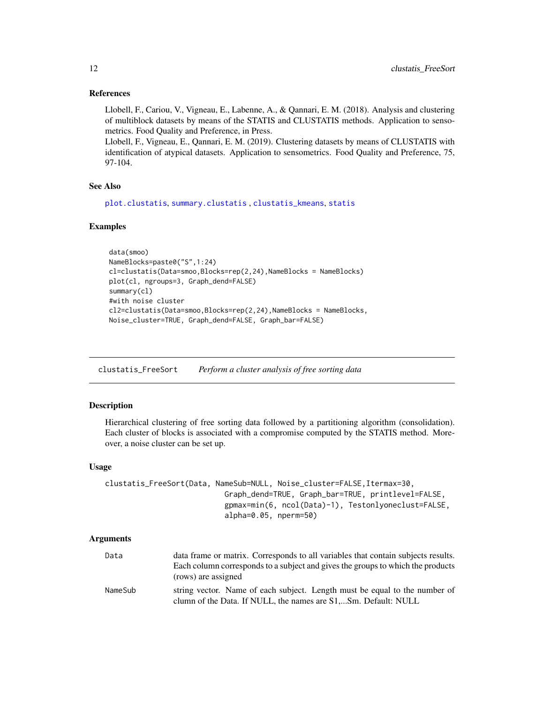#### <span id="page-11-0"></span>References

Llobell, F., Cariou, V., Vigneau, E., Labenne, A., & Qannari, E. M. (2018). Analysis and clustering of multiblock datasets by means of the STATIS and CLUSTATIS methods. Application to sensometrics. Food Quality and Preference, in Press.

Llobell, F., Vigneau, E., Qannari, E. M. (2019). Clustering datasets by means of CLUSTATIS with identification of atypical datasets. Application to sensometrics. Food Quality and Preference, 75, 97-104.

# See Also

[plot.clustatis](#page-21-1), [summary.clustatis](#page-33-1) , [clustatis\\_kmeans](#page-15-1), [statis](#page-28-1)

#### Examples

```
data(smoo)
NameBlocks=paste0("S",1:24)
cl=clustatis(Data=smoo,Blocks=rep(2,24),NameBlocks = NameBlocks)
plot(cl, ngroups=3, Graph_dend=FALSE)
summary(cl)
#with noise cluster
cl2=clustatis(Data=smoo,Blocks=rep(2,24),NameBlocks = NameBlocks,
Noise_cluster=TRUE, Graph_dend=FALSE, Graph_bar=FALSE)
```
<span id="page-11-1"></span>clustatis\_FreeSort *Perform a cluster analysis of free sorting data*

#### Description

Hierarchical clustering of free sorting data followed by a partitioning algorithm (consolidation). Each cluster of blocks is associated with a compromise computed by the STATIS method. Moreover, a noise cluster can be set up.

#### Usage

```
clustatis_FreeSort(Data, NameSub=NULL, Noise_cluster=FALSE,Itermax=30,
                           Graph_dend=TRUE, Graph_bar=TRUE, printlevel=FALSE,
                           gpmax=min(6, ncol(Data)-1), Testonlyoneclust=FALSE,
                           alpha=0.05, nperm=50)
```

| Data    | data frame or matrix. Corresponds to all variables that contain subjects results. |
|---------|-----------------------------------------------------------------------------------|
|         | Each column corresponds to a subject and gives the groups to which the products   |
|         | (rows) are assigned                                                               |
| NameSub | string vector. Name of each subject. Length must be equal to the number of        |
|         | clumn of the Data. If NULL, the names are S1,Sm. Default: NULL                    |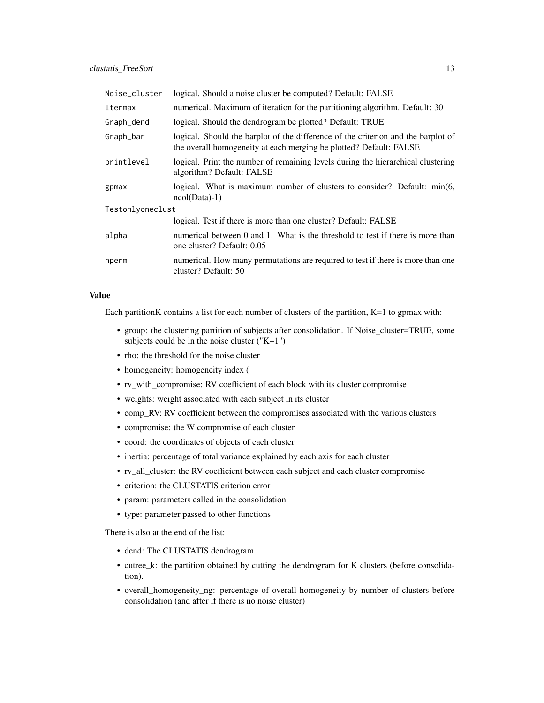| Noise_cluster    | logical. Should a noise cluster be computed? Default: FALSE                                                                                             |  |
|------------------|---------------------------------------------------------------------------------------------------------------------------------------------------------|--|
| Itermax          | numerical. Maximum of iteration for the partitioning algorithm. Default: 30                                                                             |  |
| Graph_dend       | logical. Should the dendrogram be plotted? Default: TRUE                                                                                                |  |
| Graph_bar        | logical. Should the barplot of the difference of the criterion and the barplot of<br>the overall homogeneity at each merging be plotted? Default: FALSE |  |
| printlevel       | logical. Print the number of remaining levels during the hierarchical clustering<br>algorithm? Default: FALSE                                           |  |
| gpmax            | logical. What is maximum number of clusters to consider? Default: min(6,<br>$ncol(Data)-1)$                                                             |  |
| Testonlyoneclust |                                                                                                                                                         |  |
|                  | logical. Test if there is more than one cluster? Default: FALSE                                                                                         |  |
| alpha            | numerical between 0 and 1. What is the threshold to test if there is more than<br>one cluster? Default: 0.05                                            |  |
| nperm            | numerical. How many permutations are required to test if there is more than one<br>cluster? Default: 50                                                 |  |

#### Value

Each partition K contains a list for each number of clusters of the partition,  $K=1$  to gpmax with:

- group: the clustering partition of subjects after consolidation. If Noise\_cluster=TRUE, some subjects could be in the noise cluster ("K+1")
- rho: the threshold for the noise cluster
- homogeneity: homogeneity index (
- rv\_with\_compromise: RV coefficient of each block with its cluster compromise
- weights: weight associated with each subject in its cluster
- comp\_RV: RV coefficient between the compromises associated with the various clusters
- compromise: the W compromise of each cluster
- coord: the coordinates of objects of each cluster
- inertia: percentage of total variance explained by each axis for each cluster
- rv\_all\_cluster: the RV coefficient between each subject and each cluster compromise
- criterion: the CLUSTATIS criterion error
- param: parameters called in the consolidation
- type: parameter passed to other functions

There is also at the end of the list:

- dend: The CLUSTATIS dendrogram
- cutree\_k: the partition obtained by cutting the dendrogram for K clusters (before consolidation).
- overall\_homogeneity\_ng: percentage of overall homogeneity by number of clusters before consolidation (and after if there is no noise cluster)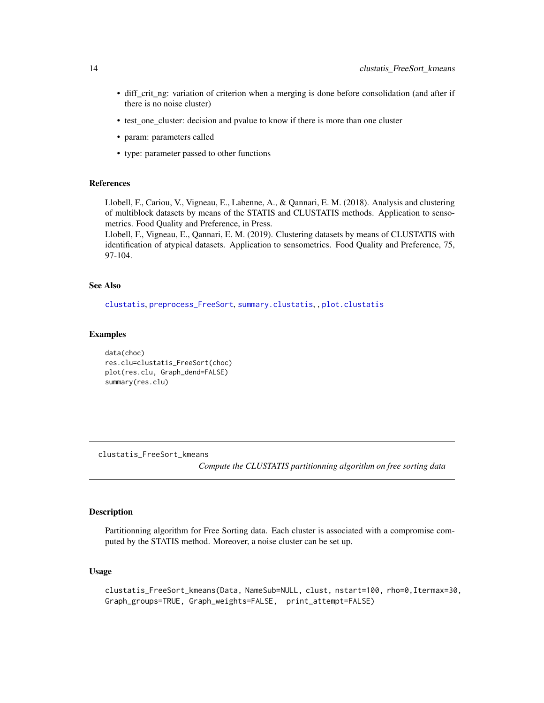- <span id="page-13-0"></span>• diff\_crit\_ng: variation of criterion when a merging is done before consolidation (and after if there is no noise cluster)
- test\_one\_cluster: decision and pvalue to know if there is more than one cluster
- param: parameters called
- type: parameter passed to other functions

#### References

Llobell, F., Cariou, V., Vigneau, E., Labenne, A., & Qannari, E. M. (2018). Analysis and clustering of multiblock datasets by means of the STATIS and CLUSTATIS methods. Application to sensometrics. Food Quality and Preference, in Press.

Llobell, F., Vigneau, E., Qannari, E. M. (2019). Clustering datasets by means of CLUSTATIS with identification of atypical datasets. Application to sensometrics. Food Quality and Preference, 75, 97-104.

# See Also

[clustatis](#page-9-1), [preprocess\\_FreeSort](#page-23-1), [summary.clustatis](#page-33-1), , [plot.clustatis](#page-21-1)

#### Examples

data(choc) res.clu=clustatis\_FreeSort(choc) plot(res.clu, Graph\_dend=FALSE) summary(res.clu)

clustatis\_FreeSort\_kmeans

*Compute the CLUSTATIS partitionning algorithm on free sorting data*

# Description

Partitionning algorithm for Free Sorting data. Each cluster is associated with a compromise computed by the STATIS method. Moreover, a noise cluster can be set up.

#### Usage

```
clustatis_FreeSort_kmeans(Data, NameSub=NULL, clust, nstart=100, rho=0,Itermax=30,
Graph_groups=TRUE, Graph_weights=FALSE, print_attempt=FALSE)
```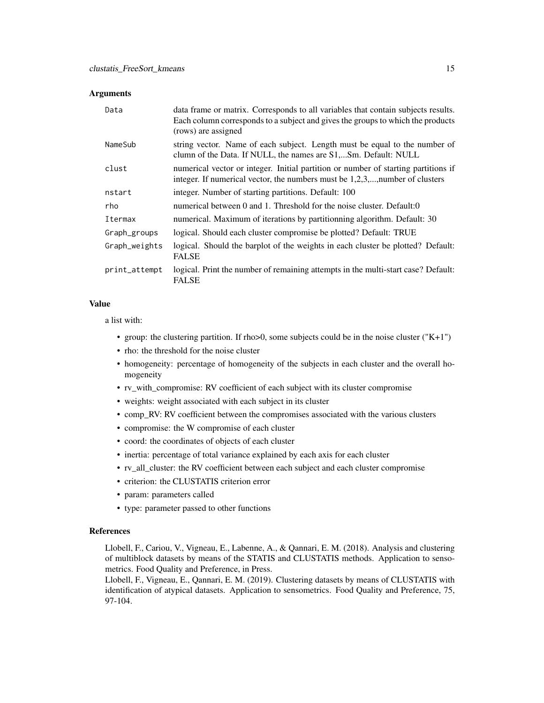#### **Arguments**

| Data          | data frame or matrix. Corresponds to all variables that contain subjects results.<br>Each column corresponds to a subject and gives the groups to which the products<br>(rows) are assigned |
|---------------|---------------------------------------------------------------------------------------------------------------------------------------------------------------------------------------------|
| NameSub       | string vector. Name of each subject. Length must be equal to the number of<br>clumn of the Data. If NULL, the names are S1,Sm. Default: NULL                                                |
| clust         | numerical vector or integer. Initial partition or number of starting partitions if<br>integer. If numerical vector, the numbers must be 1,2,3,, number of clusters                          |
| nstart        | integer. Number of starting partitions. Default: 100                                                                                                                                        |
| rho           | numerical between 0 and 1. Threshold for the noise cluster. Default:0                                                                                                                       |
| Itermax       | numerical. Maximum of iterations by partitionning algorithm. Default: 30                                                                                                                    |
| Graph_groups  | logical. Should each cluster compromise be plotted? Default: TRUE                                                                                                                           |
| Graph_weights | logical. Should the barplot of the weights in each cluster be plotted? Default:<br><b>FALSE</b>                                                                                             |
| print_attempt | logical. Print the number of remaining attempts in the multi-start case? Default:<br><b>FALSE</b>                                                                                           |

### Value

a list with:

- group: the clustering partition. If rho>0, some subjects could be in the noise cluster ("K+1")
- rho: the threshold for the noise cluster
- homogeneity: percentage of homogeneity of the subjects in each cluster and the overall homogeneity
- rv\_with\_compromise: RV coefficient of each subject with its cluster compromise
- weights: weight associated with each subject in its cluster
- comp\_RV: RV coefficient between the compromises associated with the various clusters
- compromise: the W compromise of each cluster
- coord: the coordinates of objects of each cluster
- inertia: percentage of total variance explained by each axis for each cluster
- rv\_all\_cluster: the RV coefficient between each subject and each cluster compromise
- criterion: the CLUSTATIS criterion error
- param: parameters called
- type: parameter passed to other functions

#### References

Llobell, F., Cariou, V., Vigneau, E., Labenne, A., & Qannari, E. M. (2018). Analysis and clustering of multiblock datasets by means of the STATIS and CLUSTATIS methods. Application to sensometrics. Food Quality and Preference, in Press.

Llobell, F., Vigneau, E., Qannari, E. M. (2019). Clustering datasets by means of CLUSTATIS with identification of atypical datasets. Application to sensometrics. Food Quality and Preference, 75, 97-104.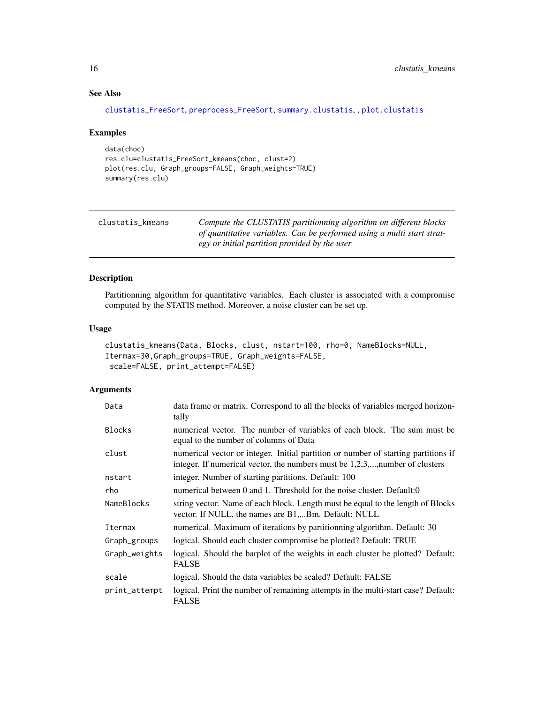# See Also

```
clustatis_FreeSort, preprocess_FreeSort, summary.clustatis, , plot.clustatis
```
#### Examples

```
data(choc)
res.clu=clustatis_FreeSort_kmeans(choc, clust=2)
plot(res.clu, Graph_groups=FALSE, Graph_weights=TRUE)
summary(res.clu)
```
<span id="page-15-1"></span>

| clustatis kmeans | Compute the CLUSTATIS partitionning algorithm on different blocks      |
|------------------|------------------------------------------------------------------------|
|                  | of quantitative variables. Can be performed using a multi start strat- |
|                  | egy or initial partition provided by the user                          |

# Description

Partitionning algorithm for quantitative variables. Each cluster is associated with a compromise computed by the STATIS method. Moreover, a noise cluster can be set up.

#### Usage

```
clustatis_kmeans(Data, Blocks, clust, nstart=100, rho=0, NameBlocks=NULL,
Itermax=30,Graph_groups=TRUE, Graph_weights=FALSE,
scale=FALSE, print_attempt=FALSE)
```

| Data          | data frame or matrix. Correspond to all the blocks of variables merged horizon-<br>tally                                                                           |
|---------------|--------------------------------------------------------------------------------------------------------------------------------------------------------------------|
| <b>Blocks</b> | numerical vector. The number of variables of each block. The sum must be<br>equal to the number of columns of Data                                                 |
| clust         | numerical vector or integer. Initial partition or number of starting partitions if<br>integer. If numerical vector, the numbers must be 1,2,3,, number of clusters |
| nstart        | integer. Number of starting partitions. Default: 100                                                                                                               |
| rho           | numerical between 0 and 1. Threshold for the noise cluster. Default:0                                                                                              |
| NameBlocks    | string vector. Name of each block. Length must be equal to the length of Blocks<br>vector. If NULL, the names are B1,Bm. Default: NULL                             |
| Itermax       | numerical. Maximum of iterations by partitionning algorithm. Default: 30                                                                                           |
| Graph_groups  | logical. Should each cluster compromise be plotted? Default: TRUE                                                                                                  |
| Graph_weights | logical. Should the barplot of the weights in each cluster be plotted? Default:<br><b>FALSE</b>                                                                    |
| scale         | logical. Should the data variables be scaled? Default: FALSE                                                                                                       |
| print_attempt | logical. Print the number of remaining attempts in the multi-start case? Default:<br><b>FALSE</b>                                                                  |

<span id="page-15-0"></span>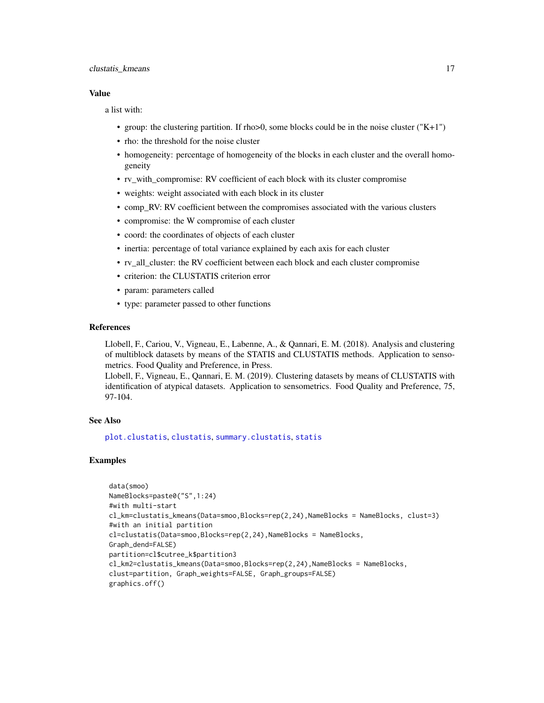#### <span id="page-16-0"></span>clustatis\_kmeans 17

#### Value

a list with:

- group: the clustering partition. If rho $>0$ , some blocks could be in the noise cluster ("K+1")
- rho: the threshold for the noise cluster
- homogeneity: percentage of homogeneity of the blocks in each cluster and the overall homogeneity
- rv\_with\_compromise: RV coefficient of each block with its cluster compromise
- weights: weight associated with each block in its cluster
- comp\_RV: RV coefficient between the compromises associated with the various clusters
- compromise: the W compromise of each cluster
- coord: the coordinates of objects of each cluster
- inertia: percentage of total variance explained by each axis for each cluster
- rv\_all\_cluster: the RV coefficient between each block and each cluster compromise
- criterion: the CLUSTATIS criterion error
- param: parameters called
- type: parameter passed to other functions

# References

Llobell, F., Cariou, V., Vigneau, E., Labenne, A., & Qannari, E. M. (2018). Analysis and clustering of multiblock datasets by means of the STATIS and CLUSTATIS methods. Application to sensometrics. Food Quality and Preference, in Press.

Llobell, F., Vigneau, E., Qannari, E. M. (2019). Clustering datasets by means of CLUSTATIS with identification of atypical datasets. Application to sensometrics. Food Quality and Preference, 75, 97-104.

# See Also

[plot.clustatis](#page-21-1), [clustatis](#page-9-1), [summary.clustatis](#page-33-1), [statis](#page-28-1)

```
data(smoo)
NameBlocks=paste0("S",1:24)
#with multi-start
cl_km=clustatis_kmeans(Data=smoo,Blocks=rep(2,24),NameBlocks = NameBlocks, clust=3)
#with an initial partition
cl=clustatis(Data=smoo,Blocks=rep(2,24),NameBlocks = NameBlocks,
Graph_dend=FALSE)
partition=cl$cutree_k$partition3
cl_km2=clustatis_kmeans(Data=smoo,Blocks=rep(2,24),NameBlocks = NameBlocks,
clust=partition, Graph_weights=FALSE, Graph_groups=FALSE)
graphics.off()
```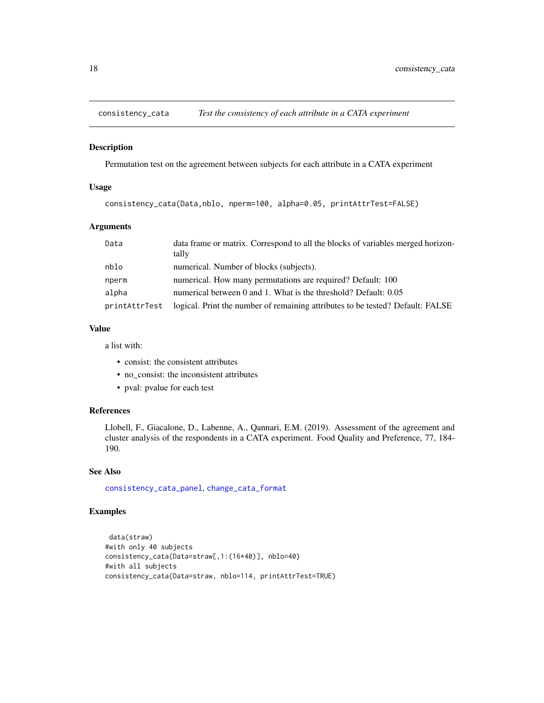<span id="page-17-1"></span><span id="page-17-0"></span>

#### Description

Permutation test on the agreement between subjects for each attribute in a CATA experiment

#### Usage

consistency\_cata(Data,nblo, nperm=100, alpha=0.05, printAttrTest=FALSE)

#### Arguments

| Data          | data frame or matrix. Correspond to all the blocks of variables merged horizon-<br>tally |
|---------------|------------------------------------------------------------------------------------------|
| nblo          | numerical. Number of blocks (subjects).                                                  |
| nperm         | numerical. How many permutations are required? Default: 100                              |
| alpha         | numerical between 0 and 1. What is the threshold? Default: 0.05                          |
| printAttrTest | logical. Print the number of remaining attributes to be tested? Default: FALSE           |

#### Value

a list with:

- consist: the consistent attributes
- no\_consist: the inconsistent attributes
- pval: pvalue for each test

# References

Llobell, F., Giacalone, D., Labenne, A., Qannari, E.M. (2019). Assessment of the agreement and cluster analysis of the respondents in a CATA experiment. Food Quality and Preference, 77, 184- 190.

# See Also

[consistency\\_cata\\_panel](#page-18-1), [change\\_cata\\_format](#page-4-1)

```
data(straw)
#with only 40 subjects
consistency_cata(Data=straw[,1:(16*40)], nblo=40)
#with all subjects
consistency_cata(Data=straw, nblo=114, printAttrTest=TRUE)
```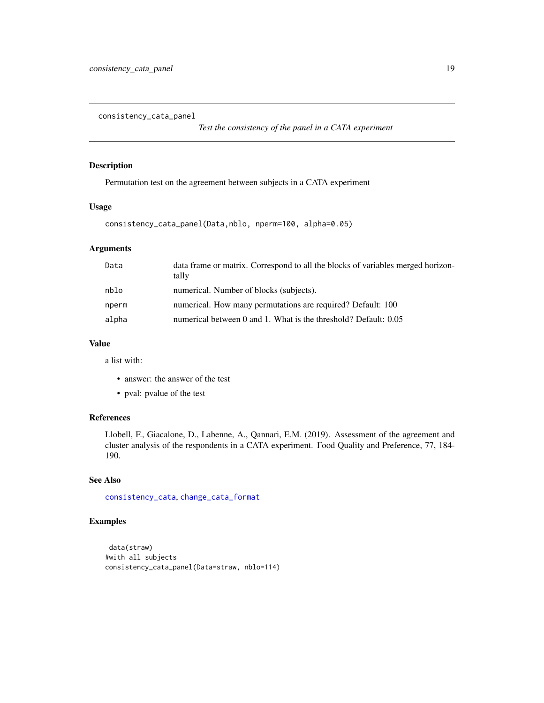<span id="page-18-1"></span><span id="page-18-0"></span>consistency\_cata\_panel

*Test the consistency of the panel in a CATA experiment*

# Description

Permutation test on the agreement between subjects in a CATA experiment

# Usage

```
consistency_cata_panel(Data,nblo, nperm=100, alpha=0.05)
```
# Arguments

| data frame or matrix. Correspond to all the blocks of variables merged horizon-<br>tally |
|------------------------------------------------------------------------------------------|
| numerical. Number of blocks (subjects).                                                  |
| numerical. How many permutations are required? Default: 100                              |
| numerical between 0 and 1. What is the threshold? Default: 0.05                          |
|                                                                                          |

#### Value

a list with:

- answer: the answer of the test
- pval: pvalue of the test

# References

Llobell, F., Giacalone, D., Labenne, A., Qannari, E.M. (2019). Assessment of the agreement and cluster analysis of the respondents in a CATA experiment. Food Quality and Preference, 77, 184- 190.

#### See Also

[consistency\\_cata](#page-17-1), [change\\_cata\\_format](#page-4-1)

```
data(straw)
#with all subjects
consistency_cata_panel(Data=straw, nblo=114)
```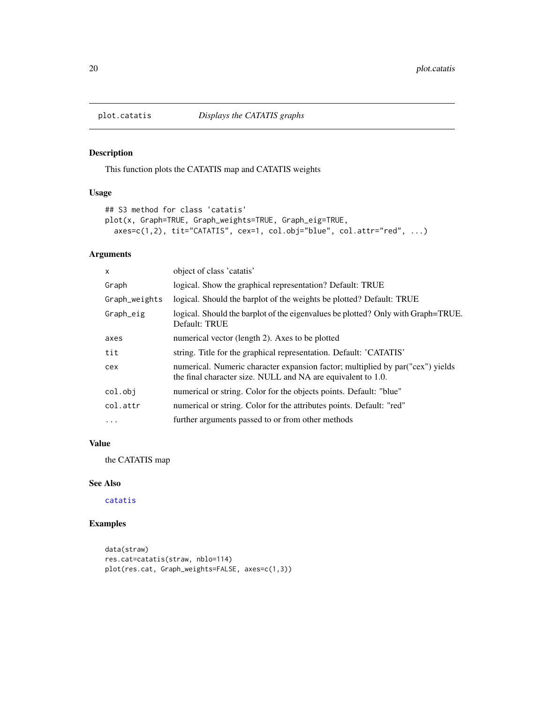<span id="page-19-1"></span><span id="page-19-0"></span>

# Description

This function plots the CATATIS map and CATATIS weights

# Usage

```
## S3 method for class 'catatis'
plot(x, Graph=TRUE, Graph_weights=TRUE, Graph_eig=TRUE,
 axes=c(1,2), tit="CATATIS", cex=1, col.obj="blue", col.attr="red", ...)
```
# Arguments

| $\mathsf{x}$  | object of class 'catatis'                                                                                                                       |
|---------------|-------------------------------------------------------------------------------------------------------------------------------------------------|
| Graph         | logical. Show the graphical representation? Default: TRUE                                                                                       |
| Graph_weights | logical. Should the barplot of the weights be plotted? Default: TRUE                                                                            |
| Graph_eig     | logical. Should the barplot of the eigenvalues be plotted? Only with Graph=TRUE.<br>Default: TRUE                                               |
| axes          | numerical vector (length 2). Axes to be plotted                                                                                                 |
| tit           | string. Title for the graphical representation. Default: 'CATATIS'                                                                              |
| cex           | numerical. Numeric character expansion factor; multiplied by par ("cex") yields<br>the final character size. NULL and NA are equivalent to 1.0. |
| col.obj       | numerical or string. Color for the objects points. Default: "blue"                                                                              |
| col.attr      | numerical or string. Color for the attributes points. Default: "red"                                                                            |
| $\ddots$      | further arguments passed to or from other methods                                                                                               |

#### Value

the CATATIS map

# See Also

[catatis](#page-2-1)

```
data(straw)
res.cat=catatis(straw, nblo=114)
plot(res.cat, Graph_weights=FALSE, axes=c(1,3))
```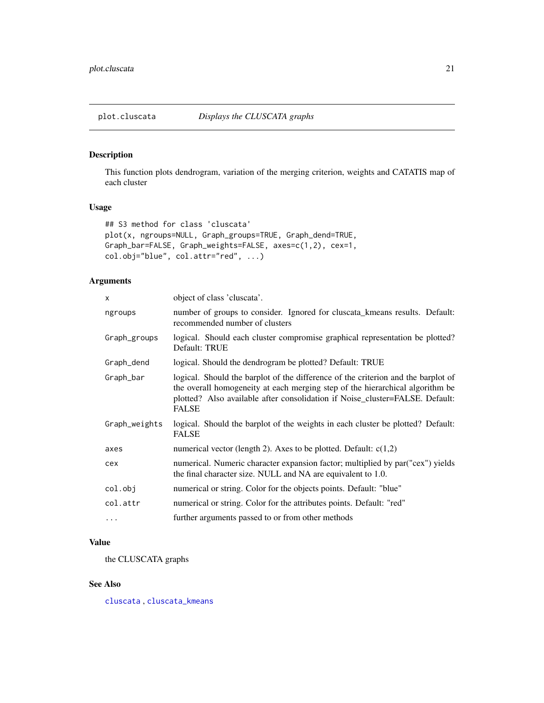<span id="page-20-1"></span><span id="page-20-0"></span>

# Description

This function plots dendrogram, variation of the merging criterion, weights and CATATIS map of each cluster

# Usage

```
## S3 method for class 'cluscata'
plot(x, ngroups=NULL, Graph_groups=TRUE, Graph_dend=TRUE,
Graph_bar=FALSE, Graph_weights=FALSE, axes=c(1,2), cex=1,
col.obj="blue", col.attr="red", ...)
```
# Arguments

| $\mathsf{x}$  | object of class 'cluscata'.                                                                                                                                                                                                                                        |
|---------------|--------------------------------------------------------------------------------------------------------------------------------------------------------------------------------------------------------------------------------------------------------------------|
| ngroups       | number of groups to consider. Ignored for cluscata_kmeans results. Default:<br>recommended number of clusters                                                                                                                                                      |
| Graph_groups  | logical. Should each cluster compromise graphical representation be plotted?<br>Default: TRUE                                                                                                                                                                      |
| Graph_dend    | logical. Should the dendrogram be plotted? Default: TRUE                                                                                                                                                                                                           |
| Graph_bar     | logical. Should the barplot of the difference of the criterion and the barplot of<br>the overall homogeneity at each merging step of the hierarchical algorithm be<br>plotted? Also available after consolidation if Noise_cluster=FALSE. Default:<br><b>FALSE</b> |
| Graph_weights | logical. Should the barplot of the weights in each cluster be plotted? Default:<br><b>FALSE</b>                                                                                                                                                                    |
| axes          | numerical vector (length 2). Axes to be plotted. Default: $c(1,2)$                                                                                                                                                                                                 |
| cex           | numerical. Numeric character expansion factor; multiplied by par("cex") yields<br>the final character size. NULL and NA are equivalent to 1.0.                                                                                                                     |
| col.obj       | numerical or string. Color for the objects points. Default: "blue"                                                                                                                                                                                                 |
| col.attr      | numerical or string. Color for the attributes points. Default: "red"                                                                                                                                                                                               |
| .             | further arguments passed to or from other methods                                                                                                                                                                                                                  |

# Value

the CLUSCATA graphs

#### See Also

[cluscata](#page-5-1) , [cluscata\\_kmeans](#page-7-1)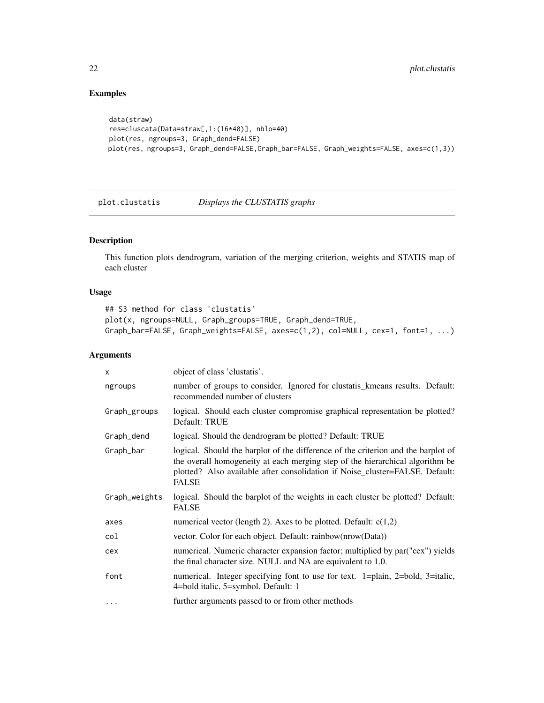# Examples

```
data(straw)
res=cluscata(Data=straw[,1:(16*40)], nblo=40)
plot(res, ngroups=3, Graph_dend=FALSE)
plot(res, ngroups=3, Graph_dend=FALSE,Graph_bar=FALSE, Graph_weights=FALSE, axes=c(1,3))
```
<span id="page-21-1"></span>plot.clustatis *Displays the CLUSTATIS graphs*

# Description

This function plots dendrogram, variation of the merging criterion, weights and STATIS map of each cluster

### Usage

```
## S3 method for class 'clustatis'
plot(x, ngroups=NULL, Graph_groups=TRUE, Graph_dend=TRUE,
Graph_bar=FALSE, Graph_weights=FALSE, axes=c(1,2), col=NULL, cex=1, font=1, ...)
```

| $\times$      | object of class 'clustatis'.                                                                                                                                                                                                                                       |
|---------------|--------------------------------------------------------------------------------------------------------------------------------------------------------------------------------------------------------------------------------------------------------------------|
| ngroups       | number of groups to consider. Ignored for clustatis_kmeans results. Default:<br>recommended number of clusters                                                                                                                                                     |
| Graph_groups  | logical. Should each cluster compromise graphical representation be plotted?<br>Default: TRUE                                                                                                                                                                      |
| Graph_dend    | logical. Should the dendrogram be plotted? Default: TRUE                                                                                                                                                                                                           |
| Graph_bar     | logical. Should the barplot of the difference of the criterion and the barplot of<br>the overall homogeneity at each merging step of the hierarchical algorithm be<br>plotted? Also available after consolidation if Noise_cluster=FALSE. Default:<br><b>FALSE</b> |
| Graph_weights | logical. Should the barplot of the weights in each cluster be plotted? Default:<br><b>FALSE</b>                                                                                                                                                                    |
| axes          | numerical vector (length 2). Axes to be plotted. Default: $c(1,2)$                                                                                                                                                                                                 |
| col           | vector. Color for each object. Default: rainbow(nrow(Data))                                                                                                                                                                                                        |
| cex           | numerical. Numeric character expansion factor; multiplied by par("cex") yields<br>the final character size. NULL and NA are equivalent to 1.0.                                                                                                                     |
| font          | numerical. Integer specifying font to use for text. 1=plain, 2=bold, 3=italic,<br>4=bold italic, 5=symbol. Default: 1                                                                                                                                              |
| $\cdots$      | further arguments passed to or from other methods                                                                                                                                                                                                                  |

<span id="page-21-0"></span>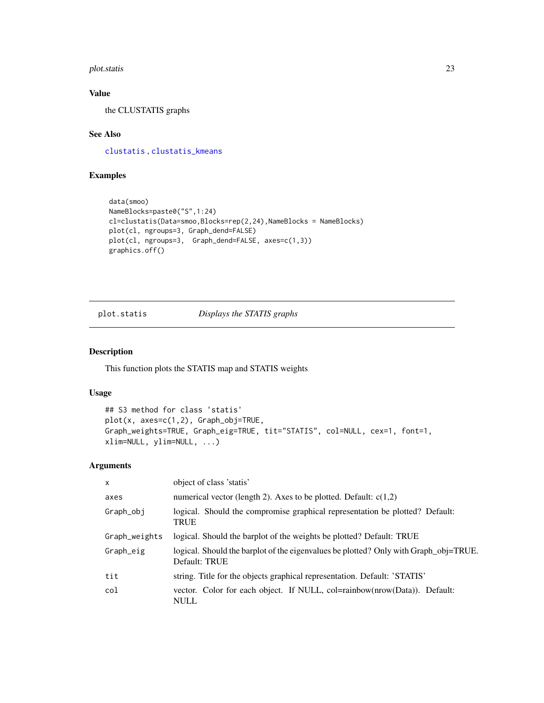#### <span id="page-22-0"></span>plot.statis 23

# Value

the CLUSTATIS graphs

# See Also

[clustatis](#page-9-1) , [clustatis\\_kmeans](#page-15-1)

# Examples

```
data(smoo)
NameBlocks=paste0("S",1:24)
cl=clustatis(Data=smoo,Blocks=rep(2,24),NameBlocks = NameBlocks)
plot(cl, ngroups=3, Graph_dend=FALSE)
plot(cl, ngroups=3, Graph_dend=FALSE, axes=c(1,3))
graphics.off()
```
<span id="page-22-1"></span>plot.statis *Displays the STATIS graphs*

# Description

This function plots the STATIS map and STATIS weights

# Usage

```
## S3 method for class 'statis'
plot(x, axes=c(1,2), Graph_obj=TRUE,
Graph_weights=TRUE, Graph_eig=TRUE, tit="STATIS", col=NULL, cex=1, font=1,
xlim=NULL, ylim=NULL, ...)
```

| $\mathsf{x}$  | object of class 'statis'                                                                              |
|---------------|-------------------------------------------------------------------------------------------------------|
| axes          | numerical vector (length 2). Axes to be plotted. Default: $c(1,2)$                                    |
| Graph_obj     | logical. Should the compromise graphical representation be plotted? Default:<br><b>TRUE</b>           |
| Graph_weights | logical. Should the barplot of the weights be plotted? Default: TRUE                                  |
| Graph_eig     | logical. Should the barplot of the eigenvalues be plotted? Only with Graph_obj=TRUE.<br>Default: TRUE |
| tit           | string. Title for the objects graphical representation. Default: 'STATIS'                             |
| col           | vector. Color for each object. If NULL, col=rainbow(nrow(Data)). Default:<br><b>NULL</b>              |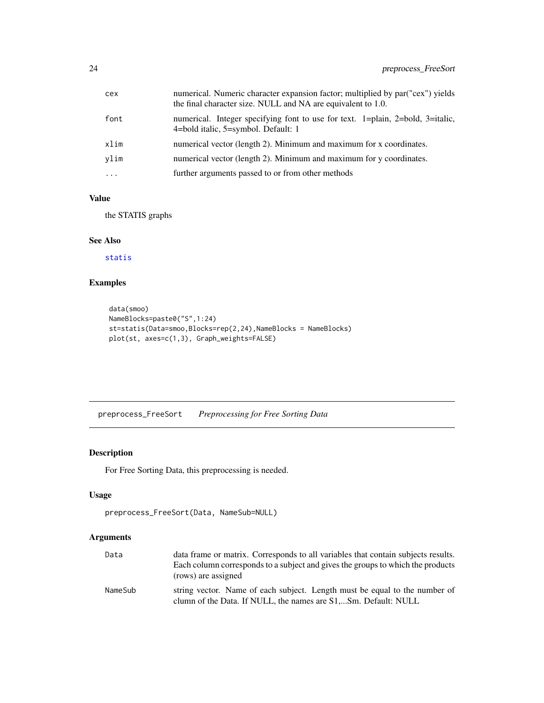<span id="page-23-0"></span>

| font<br>numerical. Integer specifying font to use for text. 1=plain, 2=bold, 3=italic,<br>4=bold italic, 5=symbol. Default: 1<br>numerical vector (length 2). Minimum and maximum for x coordinates.<br>xlim |  |
|--------------------------------------------------------------------------------------------------------------------------------------------------------------------------------------------------------------|--|
|                                                                                                                                                                                                              |  |
|                                                                                                                                                                                                              |  |
| numerical vector (length 2). Minimum and maximum for y coordinates.<br>vlim                                                                                                                                  |  |
| further arguments passed to or from other methods<br>$\cdot$                                                                                                                                                 |  |

# Value

the STATIS graphs

# See Also

[statis](#page-28-1)

# Examples

```
data(smoo)
NameBlocks=paste0("S",1:24)
st=statis(Data=smoo,Blocks=rep(2,24),NameBlocks = NameBlocks)
plot(st, axes=c(1,3), Graph_weights=FALSE)
```
<span id="page-23-1"></span>preprocess\_FreeSort *Preprocessing for Free Sorting Data*

# Description

For Free Sorting Data, this preprocessing is needed.

# Usage

```
preprocess_FreeSort(Data, NameSub=NULL)
```

| Data    | data frame or matrix. Corresponds to all variables that contain subjects results.                                                            |
|---------|----------------------------------------------------------------------------------------------------------------------------------------------|
|         | Each column corresponds to a subject and gives the groups to which the products                                                              |
|         | (rows) are assigned                                                                                                                          |
| NameSub | string vector. Name of each subject. Length must be equal to the number of<br>clumn of the Data. If NULL, the names are S1,Sm. Default: NULL |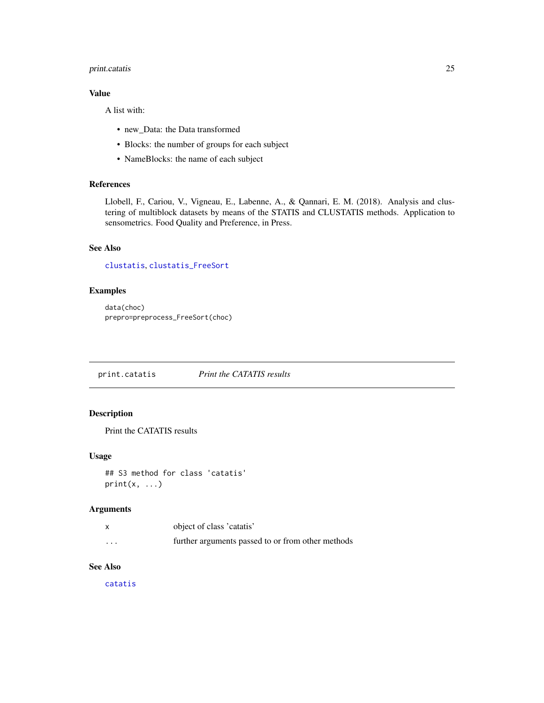# <span id="page-24-0"></span>print.catatis 25

# Value

A list with:

- new\_Data: the Data transformed
- Blocks: the number of groups for each subject
- NameBlocks: the name of each subject

#### References

Llobell, F., Cariou, V., Vigneau, E., Labenne, A., & Qannari, E. M. (2018). Analysis and clustering of multiblock datasets by means of the STATIS and CLUSTATIS methods. Application to sensometrics. Food Quality and Preference, in Press.

# See Also

[clustatis](#page-9-1), [clustatis\\_FreeSort](#page-11-1)

# Examples

```
data(choc)
prepro=preprocess_FreeSort(choc)
```
print.catatis *Print the CATATIS results*

# Description

Print the CATATIS results

#### Usage

```
## S3 method for class 'catatis'
print(x, \ldots)
```
#### Arguments

|                         | object of class 'catatis'                         |
|-------------------------|---------------------------------------------------|
| $\cdot$ $\cdot$ $\cdot$ | further arguments passed to or from other methods |

# See Also

[catatis](#page-2-1)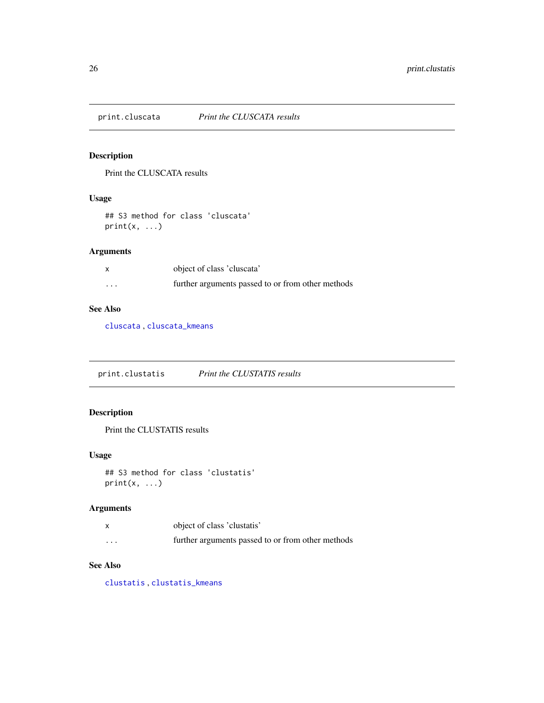<span id="page-25-0"></span>

# Description

Print the CLUSCATA results

#### Usage

## S3 method for class 'cluscata'  $print(x, \ldots)$ 

# Arguments

|          | object of class 'cluscata'                        |
|----------|---------------------------------------------------|
| $\cdots$ | further arguments passed to or from other methods |

# See Also

[cluscata](#page-5-1) , [cluscata\\_kmeans](#page-7-1)

print.clustatis *Print the CLUSTATIS results*

# Description

Print the CLUSTATIS results

# Usage

```
## S3 method for class 'clustatis'
print(x, \ldots)
```
# Arguments

|                         | object of class 'clustatis'                       |
|-------------------------|---------------------------------------------------|
| $\cdot$ $\cdot$ $\cdot$ | further arguments passed to or from other methods |

# See Also

[clustatis](#page-9-1) , [clustatis\\_kmeans](#page-15-1)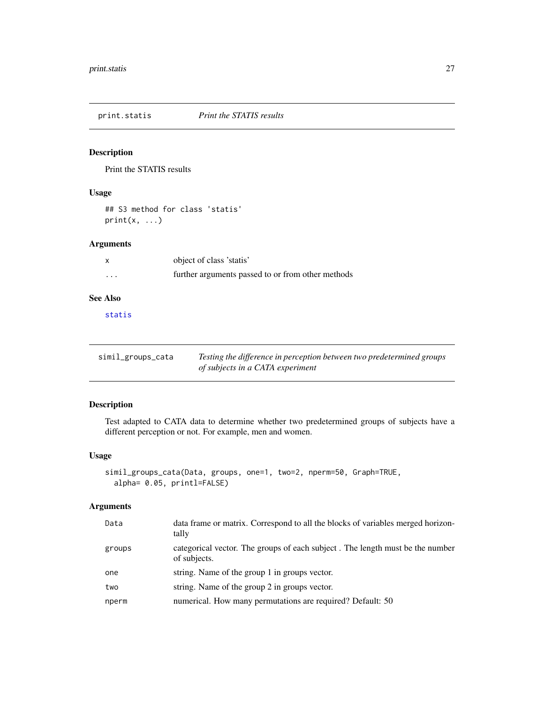<span id="page-26-0"></span>

# Description

Print the STATIS results

# Usage

## S3 method for class 'statis'  $print(x, \ldots)$ 

# Arguments

| X                       | object of class 'statis'                          |
|-------------------------|---------------------------------------------------|
| $\cdot$ $\cdot$ $\cdot$ | further arguments passed to or from other methods |
|                         |                                                   |

# See Also

[statis](#page-28-1)

| simil_groups_cata | Testing the difference in perception between two predetermined groups |
|-------------------|-----------------------------------------------------------------------|
|                   | of subjects in a CATA experiment                                      |

# Description

Test adapted to CATA data to determine whether two predetermined groups of subjects have a different perception or not. For example, men and women.

# Usage

```
simil_groups_cata(Data, groups, one=1, two=2, nperm=50, Graph=TRUE,
 alpha= 0.05, printl=FALSE)
```

| Data   | data frame or matrix. Correspond to all the blocks of variables merged horizon-<br>tally      |
|--------|-----------------------------------------------------------------------------------------------|
| groups | categorical vector. The groups of each subject. The length must be the number<br>of subjects. |
| one    | string. Name of the group 1 in groups vector.                                                 |
| two    | string. Name of the group 2 in groups vector.                                                 |
| nperm  | numerical. How many permutations are required? Default: 50                                    |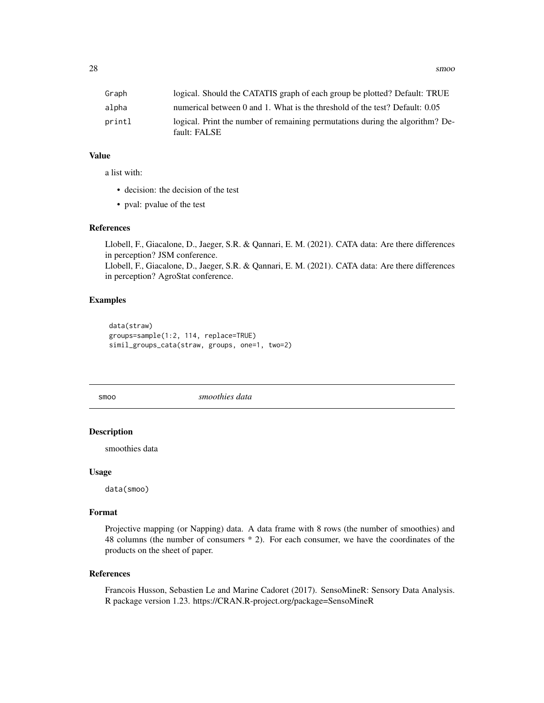<span id="page-27-0"></span>

| Graph  | logical. Should the CATATIS graph of each group be plotted? Default: TRUE                     |
|--------|-----------------------------------------------------------------------------------------------|
| alpha  | numerical between 0 and 1. What is the threshold of the test? Default: 0.05                   |
| printl | logical. Print the number of remaining permutations during the algorithm? De-<br>fault: FALSE |

# Value

a list with:

- decision: the decision of the test
- pval: pvalue of the test

#### References

Llobell, F., Giacalone, D., Jaeger, S.R. & Qannari, E. M. (2021). CATA data: Are there differences in perception? JSM conference. Llobell, F., Giacalone, D., Jaeger, S.R. & Qannari, E. M. (2021). CATA data: Are there differences

in perception? AgroStat conference.

#### Examples

data(straw) groups=sample(1:2, 114, replace=TRUE) simil\_groups\_cata(straw, groups, one=1, two=2)

smoo *smoothies data*

# Description

smoothies data

#### Usage

data(smoo)

# Format

Projective mapping (or Napping) data. A data frame with 8 rows (the number of smoothies) and 48 columns (the number of consumers \* 2). For each consumer, we have the coordinates of the products on the sheet of paper.

#### References

Francois Husson, Sebastien Le and Marine Cadoret (2017). SensoMineR: Sensory Data Analysis. R package version 1.23. https://CRAN.R-project.org/package=SensoMineR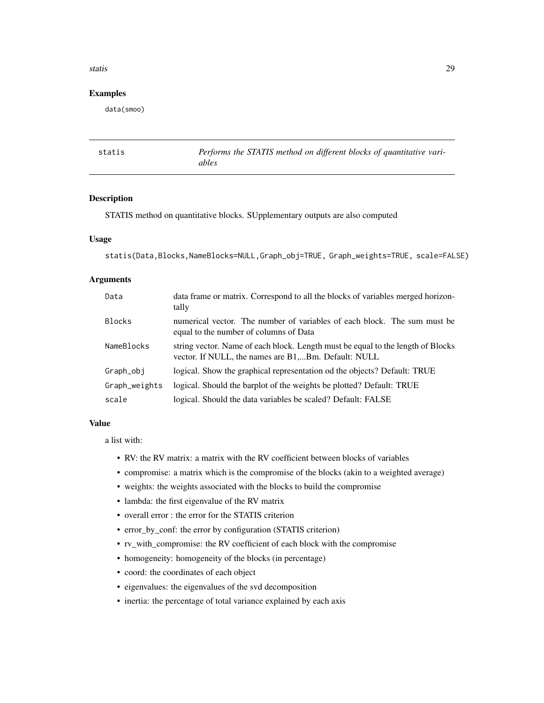#### <span id="page-28-0"></span>statis 29

# Examples

data(smoo)

<span id="page-28-1"></span>

| statis | Performs the STATIS method on different blocks of quantitative vari- |
|--------|----------------------------------------------------------------------|
|        | ables                                                                |

# Description

STATIS method on quantitative blocks. SUpplementary outputs are also computed

# Usage

```
statis(Data,Blocks,NameBlocks=NULL,Graph_obj=TRUE, Graph_weights=TRUE, scale=FALSE)
```
# Arguments

| Data          | data frame or matrix. Correspond to all the blocks of variables merged horizon-<br>tally                                               |
|---------------|----------------------------------------------------------------------------------------------------------------------------------------|
| <b>Blocks</b> | numerical vector. The number of variables of each block. The sum must be<br>equal to the number of columns of Data                     |
| NameBlocks    | string vector. Name of each block. Length must be equal to the length of Blocks<br>vector. If NULL, the names are B1,Bm. Default: NULL |
| Graph_obj     | logical. Show the graphical representation od the objects? Default: TRUE                                                               |
| Graph_weights | logical. Should the barplot of the weights be plotted? Default: TRUE                                                                   |
| scale         | logical. Should the data variables be scaled? Default: FALSE                                                                           |

#### Value

a list with:

- RV: the RV matrix: a matrix with the RV coefficient between blocks of variables
- compromise: a matrix which is the compromise of the blocks (akin to a weighted average)
- weights: the weights associated with the blocks to build the compromise
- lambda: the first eigenvalue of the RV matrix
- overall error : the error for the STATIS criterion
- error\_by\_conf: the error by configuration (STATIS criterion)
- rv\_with\_compromise: the RV coefficient of each block with the compromise
- homogeneity: homogeneity of the blocks (in percentage)
- coord: the coordinates of each object
- eigenvalues: the eigenvalues of the svd decomposition
- inertia: the percentage of total variance explained by each axis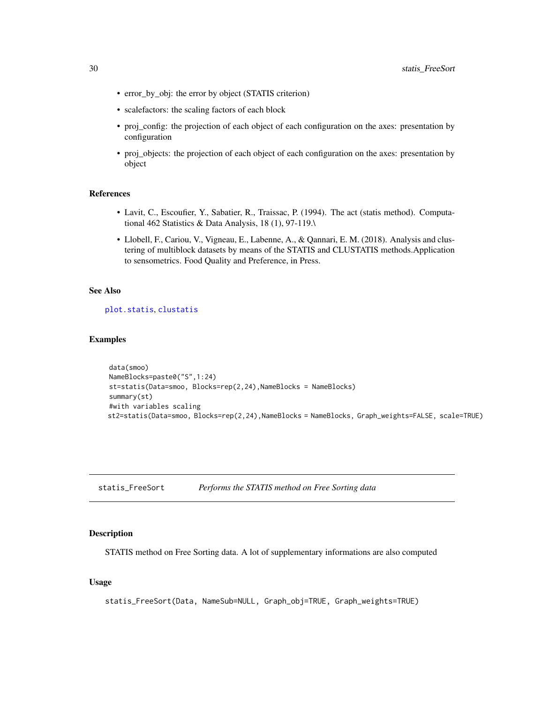- <span id="page-29-0"></span>• error\_by\_obj: the error by object (STATIS criterion)
- scalefactors: the scaling factors of each block
- proj\_config: the projection of each object of each configuration on the axes: presentation by configuration
- proj\_objects: the projection of each object of each configuration on the axes: presentation by object

#### References

- Lavit, C., Escoufier, Y., Sabatier, R., Traissac, P. (1994). The act (statis method). Computational 462 Statistics & Data Analysis, 18 (1), 97-119.\
- Llobell, F., Cariou, V., Vigneau, E., Labenne, A., & Qannari, E. M. (2018). Analysis and clustering of multiblock datasets by means of the STATIS and CLUSTATIS methods.Application to sensometrics. Food Quality and Preference, in Press.

#### See Also

[plot.statis](#page-22-1), [clustatis](#page-9-1)

#### Examples

```
data(smoo)
NameBlocks=paste0("S",1:24)
st=statis(Data=smoo, Blocks=rep(2,24),NameBlocks = NameBlocks)
summary(st)
#with variables scaling
st2=statis(Data=smoo, Blocks=rep(2,24),NameBlocks = NameBlocks, Graph_weights=FALSE, scale=TRUE)
```
statis\_FreeSort *Performs the STATIS method on Free Sorting data*

#### **Description**

STATIS method on Free Sorting data. A lot of supplementary informations are also computed

#### Usage

```
statis_FreeSort(Data, NameSub=NULL, Graph_obj=TRUE, Graph_weights=TRUE)
```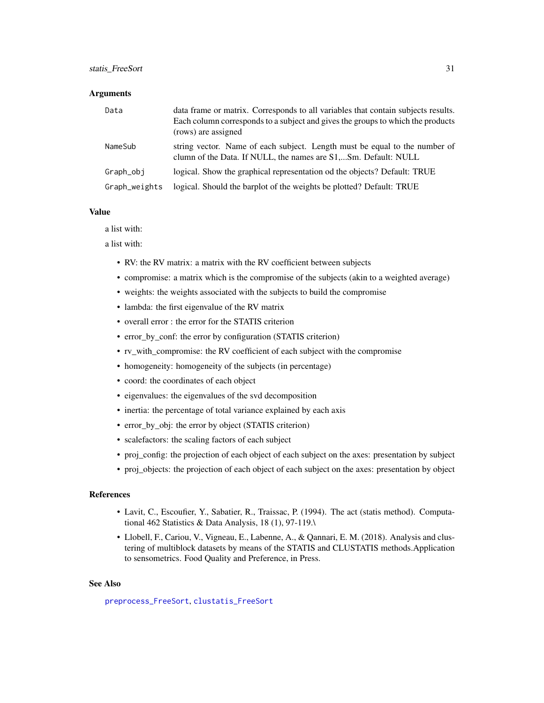#### <span id="page-30-0"></span>statis\_FreeSort 31

#### **Arguments**

| Data          | data frame or matrix. Corresponds to all variables that contain subjects results.<br>Each column corresponds to a subject and gives the groups to which the products<br>(rows) are assigned |
|---------------|---------------------------------------------------------------------------------------------------------------------------------------------------------------------------------------------|
| NameSub       | string vector. Name of each subject. Length must be equal to the number of<br>clumn of the Data. If NULL, the names are S1,Sm. Default: NULL                                                |
| Graph_obi     | logical. Show the graphical representation od the objects? Default: TRUE                                                                                                                    |
| Graph_weights | logical. Should the barplot of the weights be plotted? Default: TRUE                                                                                                                        |

#### Value

a list with:

a list with:

- RV: the RV matrix: a matrix with the RV coefficient between subjects
- compromise: a matrix which is the compromise of the subjects (akin to a weighted average)
- weights: the weights associated with the subjects to build the compromise
- lambda: the first eigenvalue of the RV matrix
- overall error : the error for the STATIS criterion
- error\_by\_conf: the error by configuration (STATIS criterion)
- rv\_with\_compromise: the RV coefficient of each subject with the compromise
- homogeneity: homogeneity of the subjects (in percentage)
- coord: the coordinates of each object
- eigenvalues: the eigenvalues of the svd decomposition
- inertia: the percentage of total variance explained by each axis
- error\_by\_obj: the error by object (STATIS criterion)
- scalefactors: the scaling factors of each subject
- proj\_config: the projection of each object of each subject on the axes: presentation by subject
- proj\_objects: the projection of each object of each subject on the axes: presentation by object

#### References

- Lavit, C., Escoufier, Y., Sabatier, R., Traissac, P. (1994). The act (statis method). Computational 462 Statistics & Data Analysis, 18 (1), 97-119.\
- Llobell, F., Cariou, V., Vigneau, E., Labenne, A., & Qannari, E. M. (2018). Analysis and clustering of multiblock datasets by means of the STATIS and CLUSTATIS methods.Application to sensometrics. Food Quality and Preference, in Press.

#### See Also

[preprocess\\_FreeSort](#page-23-1), [clustatis\\_FreeSort](#page-11-1)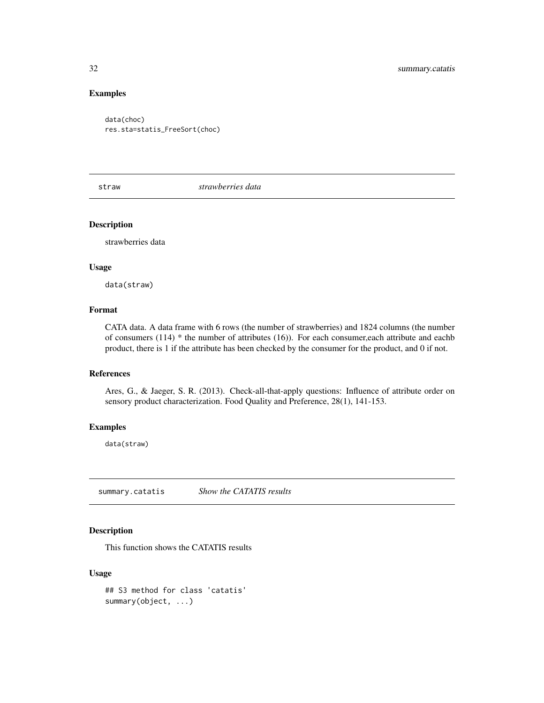# Examples

```
data(choc)
res.sta=statis_FreeSort(choc)
```
straw *strawberries data*

# Description

strawberries data

#### Usage

data(straw)

# Format

CATA data. A data frame with 6 rows (the number of strawberries) and 1824 columns (the number of consumers (114) \* the number of attributes (16)). For each consumer,each attribute and eachb product, there is 1 if the attribute has been checked by the consumer for the product, and 0 if not.

# References

Ares, G., & Jaeger, S. R. (2013). Check-all-that-apply questions: Influence of attribute order on sensory product characterization. Food Quality and Preference, 28(1), 141-153.

#### Examples

data(straw)

<span id="page-31-1"></span>summary.catatis *Show the CATATIS results*

# Description

This function shows the CATATIS results

# Usage

## S3 method for class 'catatis' summary(object, ...)

<span id="page-31-0"></span>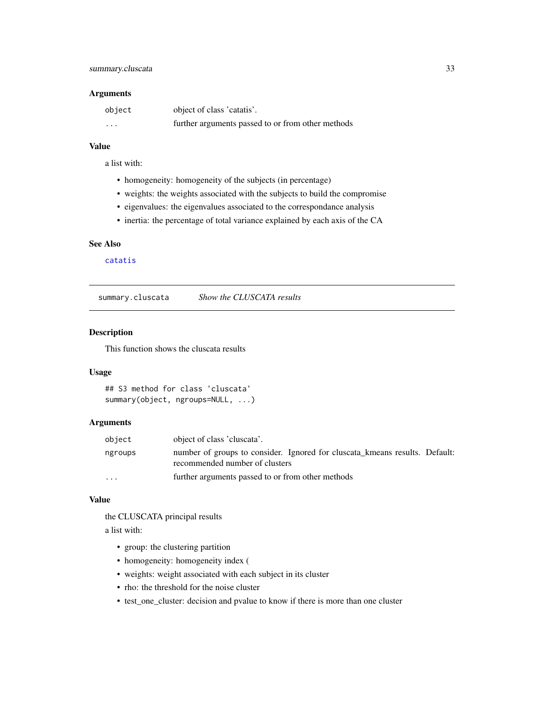#### <span id="page-32-0"></span>Arguments

| object                  | object of class 'catatis'.                        |
|-------------------------|---------------------------------------------------|
| $\cdot$ $\cdot$ $\cdot$ | further arguments passed to or from other methods |

# Value

a list with:

- homogeneity: homogeneity of the subjects (in percentage)
- weights: the weights associated with the subjects to build the compromise
- eigenvalues: the eigenvalues associated to the correspondance analysis
- inertia: the percentage of total variance explained by each axis of the CA

#### See Also

[catatis](#page-2-1)

<span id="page-32-1"></span>summary.cluscata *Show the CLUSCATA results*

# Description

This function shows the cluscata results

# Usage

```
## S3 method for class 'cluscata'
summary(object, ngroups=NULL, ...)
```
#### Arguments

| object                  | object of class 'cluscata'.                                                                                   |
|-------------------------|---------------------------------------------------------------------------------------------------------------|
| ngroups                 | number of groups to consider. Ignored for cluscata kmeans results. Default:<br>recommended number of clusters |
| $\cdot$ $\cdot$ $\cdot$ | further arguments passed to or from other methods                                                             |

#### Value

the CLUSCATA principal results

a list with:

- group: the clustering partition
- homogeneity: homogeneity index (
- weights: weight associated with each subject in its cluster
- rho: the threshold for the noise cluster
- test\_one\_cluster: decision and pvalue to know if there is more than one cluster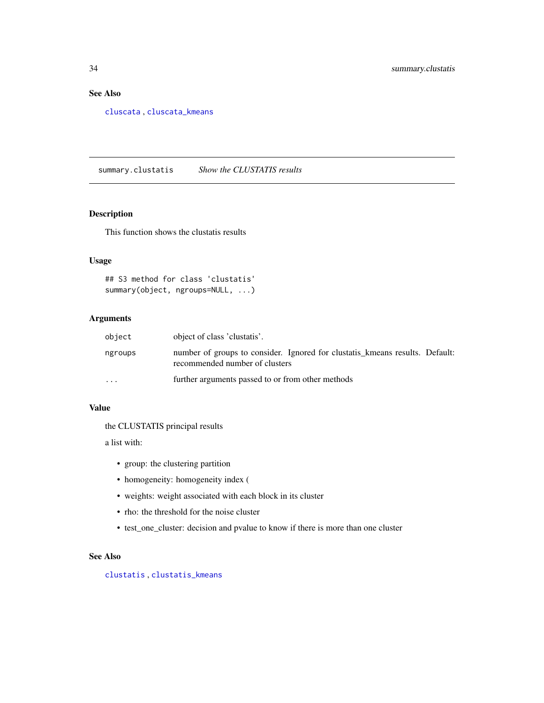# See Also

[cluscata](#page-5-1) , [cluscata\\_kmeans](#page-7-1)

<span id="page-33-1"></span>summary.clustatis *Show the CLUSTATIS results*

# Description

This function shows the clustatis results

# Usage

```
## S3 method for class 'clustatis'
summary(object, ngroups=NULL, ...)
```
#### Arguments

| object   | object of class 'clustatis'.                                                                                   |
|----------|----------------------------------------------------------------------------------------------------------------|
| ngroups  | number of groups to consider. Ignored for clustatis kmeans results. Default:<br>recommended number of clusters |
| $\cdots$ | further arguments passed to or from other methods                                                              |

# Value

the CLUSTATIS principal results

a list with:

- group: the clustering partition
- homogeneity: homogeneity index (
- weights: weight associated with each block in its cluster
- rho: the threshold for the noise cluster
- test\_one\_cluster: decision and pvalue to know if there is more than one cluster

# See Also

[clustatis](#page-9-1) , [clustatis\\_kmeans](#page-15-1)

<span id="page-33-0"></span>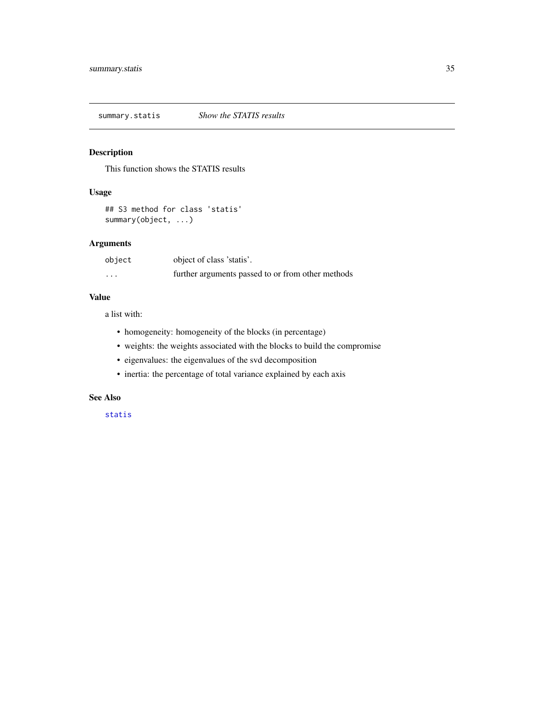<span id="page-34-0"></span>summary.statis *Show the STATIS results*

# Description

This function shows the STATIS results

# Usage

```
## S3 method for class 'statis'
summary(object, ...)
```
# Arguments

| object   | object of class 'statis'.                         |
|----------|---------------------------------------------------|
| $\cdots$ | further arguments passed to or from other methods |

#### Value

a list with:

- homogeneity: homogeneity of the blocks (in percentage)
- weights: the weights associated with the blocks to build the compromise
- eigenvalues: the eigenvalues of the svd decomposition
- inertia: the percentage of total variance explained by each axis

# See Also

[statis](#page-28-1)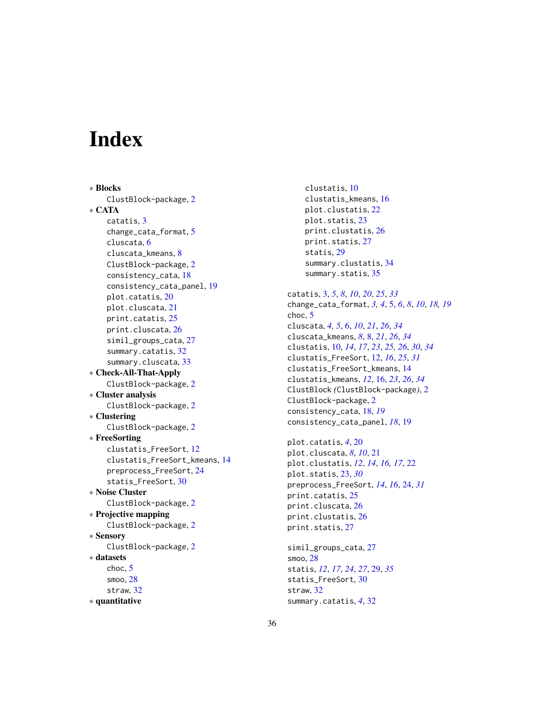# <span id="page-35-0"></span>**Index**

∗ Blocks ClustBlock-package, [2](#page-1-0) ∗ CATA catatis, [3](#page-2-0) change\_cata\_format, [5](#page-4-0) cluscata, [6](#page-5-0) cluscata\_kmeans, [8](#page-7-0) ClustBlock-package, [2](#page-1-0) consistency\_cata, [18](#page-17-0) consistency\_cata\_panel, [19](#page-18-0) plot.catatis, [20](#page-19-0) plot.cluscata, [21](#page-20-0) print.catatis, [25](#page-24-0) print.cluscata, [26](#page-25-0) simil\_groups\_cata, [27](#page-26-0) summary.catatis, [32](#page-31-0) summary.cluscata, [33](#page-32-0) ∗ Check-All-That-Apply ClustBlock-package, [2](#page-1-0) ∗ Cluster analysis ClustBlock-package, [2](#page-1-0) ∗ Clustering ClustBlock-package, [2](#page-1-0) ∗ FreeSorting clustatis\_FreeSort, [12](#page-11-0) clustatis\_FreeSort\_kmeans, [14](#page-13-0) preprocess\_FreeSort, [24](#page-23-0) statis\_FreeSort, [30](#page-29-0) ∗ Noise Cluster ClustBlock-package, [2](#page-1-0) ∗ Projective mapping ClustBlock-package, [2](#page-1-0) ∗ Sensory ClustBlock-package, [2](#page-1-0) ∗ datasets choc, [5](#page-4-0) smoo, [28](#page-27-0) straw, [32](#page-31-0) ∗ quantitative

clustatis, [10](#page-9-0) clustatis\_kmeans, [16](#page-15-0) plot.clustatis, [22](#page-21-0) plot.statis, [23](#page-22-0) print.clustatis, [26](#page-25-0) print.statis, [27](#page-26-0) statis, [29](#page-28-0) summary.clustatis, [34](#page-33-0) summary.statis, [35](#page-34-0) catatis, [3,](#page-2-0) *[5](#page-4-0)*, *[8](#page-7-0)*, *[10](#page-9-0)*, *[20](#page-19-0)*, *[25](#page-24-0)*, *[33](#page-32-0)* change\_cata\_format, *[3,](#page-2-0) [4](#page-3-0)*, [5,](#page-4-0) *[6](#page-5-0)*, *[8](#page-7-0)*, *[10](#page-9-0)*, *[18,](#page-17-0) [19](#page-18-0)* choc, [5](#page-4-0) cluscata, *[4,](#page-3-0) [5](#page-4-0)*, [6,](#page-5-0) *[10](#page-9-0)*, *[21](#page-20-0)*, *[26](#page-25-0)*, *[34](#page-33-0)* cluscata\_kmeans, *[8](#page-7-0)*, [8,](#page-7-0) *[21](#page-20-0)*, *[26](#page-25-0)*, *[34](#page-33-0)* clustatis, [10,](#page-9-0) *[14](#page-13-0)*, *[17](#page-16-0)*, *[23](#page-22-0)*, *[25,](#page-24-0) [26](#page-25-0)*, *[30](#page-29-0)*, *[34](#page-33-0)* clustatis\_FreeSort, [12,](#page-11-0) *[16](#page-15-0)*, *[25](#page-24-0)*, *[31](#page-30-0)* clustatis\_FreeSort\_kmeans, [14](#page-13-0) clustatis\_kmeans, *[12](#page-11-0)*, [16,](#page-15-0) *[23](#page-22-0)*, *[26](#page-25-0)*, *[34](#page-33-0)* ClustBlock *(*ClustBlock-package*)*, [2](#page-1-0) ClustBlock-package, [2](#page-1-0) consistency\_cata, [18,](#page-17-0) *[19](#page-18-0)* consistency\_cata\_panel, *[18](#page-17-0)*, [19](#page-18-0) plot.catatis, *[4](#page-3-0)*, [20](#page-19-0) plot.cluscata, *[8](#page-7-0)*, *[10](#page-9-0)*, [21](#page-20-0) plot.clustatis, *[12](#page-11-0)*, *[14](#page-13-0)*, *[16,](#page-15-0) [17](#page-16-0)*, [22](#page-21-0) plot.statis, [23,](#page-22-0) *[30](#page-29-0)* preprocess\_FreeSort, *[14](#page-13-0)*, *[16](#page-15-0)*, [24,](#page-23-0) *[31](#page-30-0)* print.catatis, [25](#page-24-0) print.cluscata, [26](#page-25-0) print.clustatis, [26](#page-25-0) print.statis, [27](#page-26-0) simil\_groups\_cata, [27](#page-26-0) smoo, [28](#page-27-0) statis, *[12](#page-11-0)*, *[17](#page-16-0)*, *[24](#page-23-0)*, *[27](#page-26-0)*, [29,](#page-28-0) *[35](#page-34-0)* statis\_FreeSort, [30](#page-29-0) straw, [32](#page-31-0) summary.catatis, *[4](#page-3-0)*, [32](#page-31-0)